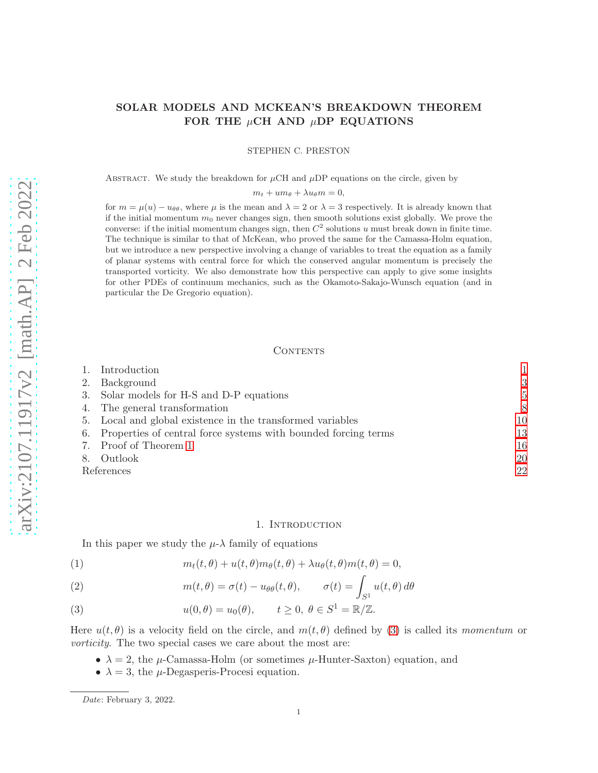# SOLAR MODELS AND MCKEAN'S BREAKDOWN THEOREM FOR THE  $\mu$ CH AND  $\mu$ DP EQUATIONS

STEPHEN C. PRESTON

ABSTRACT. We study the breakdown for  $\mu$ CH and  $\mu$ DP equations on the circle, given by

 $m_t + u m_\theta + \lambda u_\theta m = 0,$ 

for  $m = \mu(u) - u_{\theta\theta}$ , where  $\mu$  is the mean and  $\lambda = 2$  or  $\lambda = 3$  respectively. It is already known that if the initial momentum  $m_0$  never changes sign, then smooth solutions exist globally. We prove the converse: if the initial momentum changes sign, then  $C^2$  solutions u must break down in finite time. The technique is similar to that of McKean, who proved the same for the Camassa-Holm equation, but we introduce a new perspective involving a change of variables to treat the equation as a family of planar systems with central force for which the conserved angular momentum is precisely the transported vorticity. We also demonstrate how this perspective can apply to give some insights for other PDEs of continuum mechanics, such as the Okamoto-Sakajo-Wunsch equation (and in particular the De Gregorio equation).

# **CONTENTS**

|            | Introduction                                                      |    |
|------------|-------------------------------------------------------------------|----|
| 2.         | Background                                                        | 3  |
|            | 3. Solar models for H-S and D-P equations                         | 5  |
|            | 4. The general transformation                                     | 8  |
|            | 5. Local and global existence in the transformed variables        | 10 |
|            | 6. Properties of central force systems with bounded forcing terms | 13 |
|            | 7. Proof of Theorem 1                                             | 16 |
| 8.         | Outlook                                                           | 20 |
| References |                                                                   | 22 |

### 1. Introduction

<span id="page-0-0"></span>In this paper we study the  $\mu$ - $\lambda$  family of equations

<span id="page-0-2"></span>(1) 
$$
m_t(t,\theta) + u(t,\theta)m_\theta(t,\theta) + \lambda u_\theta(t,\theta)m(t,\theta) = 0,
$$

<span id="page-0-3"></span>(2) 
$$
m(t, \theta) = \sigma(t) - u_{\theta\theta}(t, \theta), \qquad \sigma(t) = \int_{S^1} u(t, \theta) d\theta
$$

<span id="page-0-1"></span>(3) 
$$
u(0,\theta) = u_0(\theta), \qquad t \ge 0, \ \theta \in S^1 = \mathbb{R}/\mathbb{Z}.
$$

Here  $u(t, \theta)$  is a velocity field on the circle, and  $m(t, \theta)$  defined by [\(3\)](#page-0-1) is called its momentum or vorticity. The two special cases we care about the most are:

- $\lambda = 2$ , the  $\mu$ -Camassa-Holm (or sometimes  $\mu$ -Hunter-Saxton) equation, and
- $\lambda = 3$ , the  $\mu$ -Degasperis-Procesi equation.

Date: February 3, 2022.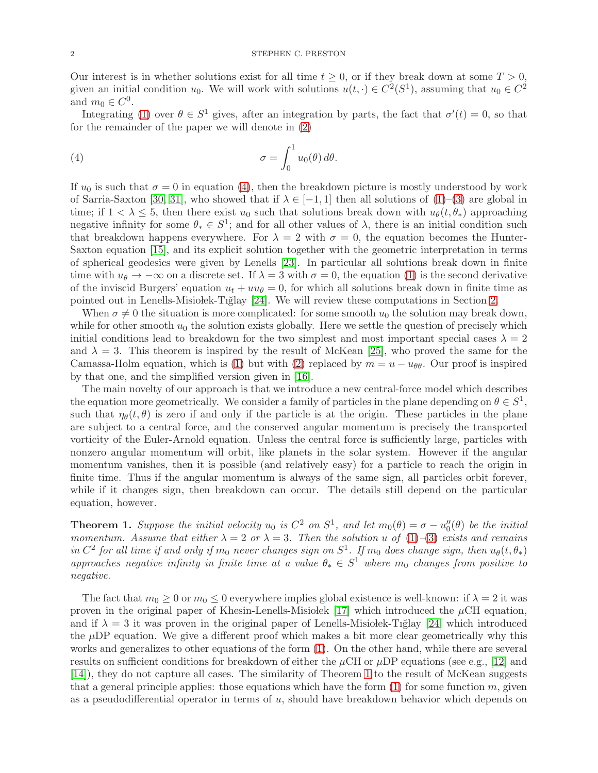Our interest is in whether solutions exist for all time  $t \geq 0$ , or if they break down at some  $T > 0$ , given an initial condition  $u_0$ . We will work with solutions  $u(t, \cdot) \in C^2(S^1)$ , assuming that  $u_0 \in C^2$ and  $m_0 \in C^0$ .

Integrating [\(1\)](#page-0-2) over  $\theta \in S^1$  gives, after an integration by parts, the fact that  $\sigma'(t) = 0$ , so that for the remainder of the paper we will denote in [\(2\)](#page-0-3)

<span id="page-1-1"></span>(4) 
$$
\sigma = \int_0^1 u_0(\theta) d\theta.
$$

If  $u_0$  is such that  $\sigma = 0$  in equation [\(4\)](#page-1-1), then the breakdown picture is mostly understood by work of Sarria-Saxton [\[30,](#page-22-0) [31\]](#page-22-1), who showed that if  $\lambda \in [-1,1]$  then all solutions of  $(1)-(3)$  $(1)-(3)$  are global in time; if  $1 < \lambda \leq 5$ , then there exist  $u_0$  such that solutions break down with  $u_{\theta}(t, \theta_*)$  approaching negative infinity for some  $\theta_* \in S^1$ ; and for all other values of  $\lambda$ , there is an initial condition such that breakdown happens everywhere. For  $\lambda = 2$  with  $\sigma = 0$ , the equation becomes the Hunter-Saxton equation [\[15\]](#page-22-2), and its explicit solution together with the geometric interpretation in terms of spherical geodesics were given by Lenells [\[23\]](#page-22-3). In particular all solutions break down in finite time with  $u_{\theta} \to -\infty$  on a discrete set. If  $\lambda = 3$  with  $\sigma = 0$ , the equation [\(1\)](#page-0-2) is the second derivative of the inviscid Burgers' equation  $u_t + uu_\theta = 0$ , for which all solutions break down in finite time as pointed out in Lenells-Misio lek-Tiglay  $[24]$ . We will review these computations in Section [2.](#page-2-0)

When  $\sigma \neq 0$  the situation is more complicated: for some smooth  $u_0$  the solution may break down, while for other smooth  $u_0$  the solution exists globally. Here we settle the question of precisely which initial conditions lead to breakdown for the two simplest and most important special cases  $\lambda = 2$ and  $\lambda = 3$ . This theorem is inspired by the result of McKean [\[25\]](#page-22-5), who proved the same for the Camassa-Holm equation, which is [\(1\)](#page-0-2) but with [\(2\)](#page-0-3) replaced by  $m = u - u_{\theta\theta}$ . Our proof is inspired by that one, and the simplified version given in [\[16\]](#page-22-6).

The main novelty of our approach is that we introduce a new central-force model which describes the equation more geometrically. We consider a family of particles in the plane depending on  $\theta \in S^1$ , such that  $\eta_{\theta}(t, \theta)$  is zero if and only if the particle is at the origin. These particles in the plane are subject to a central force, and the conserved angular momentum is precisely the transported vorticity of the Euler-Arnold equation. Unless the central force is sufficiently large, particles with nonzero angular momentum will orbit, like planets in the solar system. However if the angular momentum vanishes, then it is possible (and relatively easy) for a particle to reach the origin in finite time. Thus if the angular momentum is always of the same sign, all particles orbit forever, while if it changes sign, then breakdown can occur. The details still depend on the particular equation, however.

<span id="page-1-0"></span>**Theorem 1.** Suppose the initial velocity  $u_0$  is  $C^2$  on  $S^1$ , and let  $m_0(\theta) = \sigma - u''_0(\theta)$  be the initial momentum. Assume that either  $\lambda = 2$  or  $\lambda = 3$ . Then the solution u of [\(1\)](#page-0-2)–[\(3\)](#page-0-1) exists and remains in  $C^2$  for all time if and only if  $m_0$  never changes sign on  $S^1$ . If  $m_0$  does change sign, then  $u_\theta(t, \theta_*)$ approaches negative infinity in finite time at a value  $\theta_* \in S^1$  where  $m_0$  changes from positive to negative.

The fact that  $m_0 \geq 0$  or  $m_0 \leq 0$  everywhere implies global existence is well-known: if  $\lambda = 2$  it was proven in the original paper of Khesin-Lenells-Misiolek [\[17\]](#page-22-7) which introduced the  $\mu$ CH equation, and if  $\lambda = 3$  it was proven in the original paper of Lenells-Misiobek-Tiglay [\[24\]](#page-22-4) which introduced the  $\mu$ DP equation. We give a different proof which makes a bit more clear geometrically why this works and generalizes to other equations of the form [\(1\)](#page-0-2). On the other hand, while there are several results on sufficient conditions for breakdown of either the  $\mu$ CH or  $\mu$ DP equations (see e.g., [\[12\]](#page-22-8) and [\[14\]](#page-22-9)), they do not capture all cases. The similarity of Theorem [1](#page-1-0) to the result of McKean suggests that a general principle applies: those equations which have the form  $(1)$  for some function m, given as a pseudodifferential operator in terms of  $u$ , should have breakdown behavior which depends on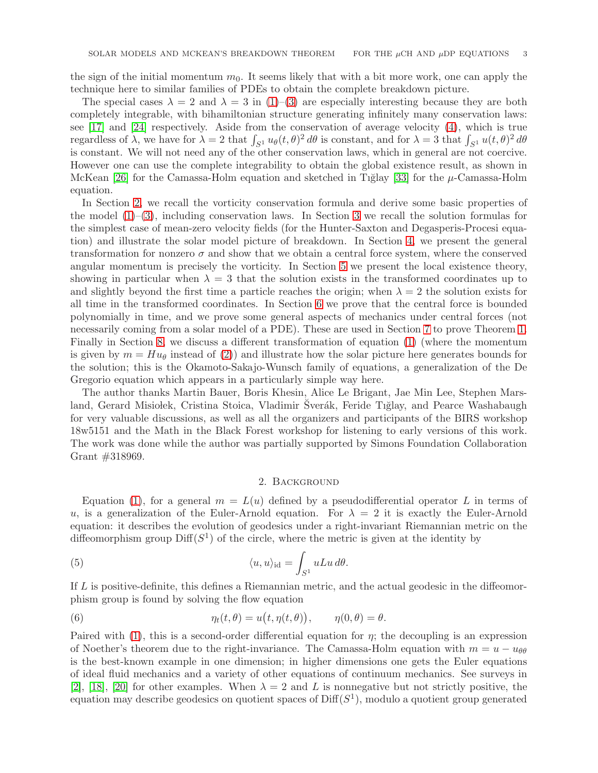the sign of the initial momentum  $m<sub>0</sub>$ . It seems likely that with a bit more work, one can apply the technique here to similar families of PDEs to obtain the complete breakdown picture.

The special cases  $\lambda = 2$  and  $\lambda = 3$  in [\(1\)](#page-0-2)–[\(3\)](#page-0-1) are especially interesting because they are both completely integrable, with bihamiltonian structure generating infinitely many conservation laws: see [\[17\]](#page-22-7) and [\[24\]](#page-22-4) respectively. Aside from the conservation of average velocity [\(4\)](#page-1-1), which is true regardless of  $\lambda$ , we have for  $\lambda = 2$  that  $\int_{S^1} u_\theta(t,\theta)^2 d\theta$  is constant, and for  $\lambda = 3$  that  $\int_{S^1} u(t,\theta)^2 d\theta$ is constant. We will not need any of the other conservation laws, which in general are not coercive. However one can use the complete integrability to obtain the global existence result, as shown in McKean [\[26\]](#page-22-10) for the Camassa-Holm equation and sketched in Tiglay [\[33\]](#page-22-11) for the  $\mu$ -Camassa-Holm equation.

In Section [2,](#page-2-0) we recall the vorticity conservation formula and derive some basic properties of the model  $(1)$ – $(3)$ , including conservation laws. In Section [3](#page-4-0) we recall the solution formulas for the simplest case of mean-zero velocity fields (for the Hunter-Saxton and Degasperis-Procesi equation) and illustrate the solar model picture of breakdown. In Section [4,](#page-7-0) we present the general transformation for nonzero  $\sigma$  and show that we obtain a central force system, where the conserved angular momentum is precisely the vorticity. In Section [5](#page-9-0) we present the local existence theory, showing in particular when  $\lambda = 3$  that the solution exists in the transformed coordinates up to and slightly beyond the first time a particle reaches the origin; when  $\lambda = 2$  the solution exists for all time in the transformed coordinates. In Section [6](#page-12-0) we prove that the central force is bounded polynomially in time, and we prove some general aspects of mechanics under central forces (not necessarily coming from a solar model of a PDE). These are used in Section [7](#page-15-0) to prove Theorem [1.](#page-1-0) Finally in Section [8,](#page-19-0) we discuss a different transformation of equation [\(1\)](#page-0-2) (where the momentum is given by  $m = Hu_{\theta}$  instead of [\(2\)](#page-0-3)) and illustrate how the solar picture here generates bounds for the solution; this is the Okamoto-Sakajo-Wunsch family of equations, a generalization of the De Gregorio equation which appears in a particularly simple way here.

The author thanks Martin Bauer, Boris Khesin, Alice Le Brigant, Jae Min Lee, Stephen Marsland, Gerard Misiolek, Cristina Stoica, Vladimir Šverák, Feride Tiğlay, and Pearce Washabaugh for very valuable discussions, as well as all the organizers and participants of the BIRS workshop 18w5151 and the Math in the Black Forest workshop for listening to early versions of this work. The work was done while the author was partially supported by Simons Foundation Collaboration Grant #318969.

### <span id="page-2-1"></span>2. Background

<span id="page-2-0"></span>Equation [\(1\)](#page-0-2), for a general  $m = L(u)$  defined by a pseudodifferential operator L in terms of u, is a generalization of the Euler-Arnold equation. For  $\lambda = 2$  it is exactly the Euler-Arnold equation: it describes the evolution of geodesics under a right-invariant Riemannian metric on the diffeomorphism group  $\text{Diff}(S^1)$  of the circle, where the metric is given at the identity by

(5) 
$$
\langle u, u \rangle_{\text{id}} = \int_{S^1} uLu \, d\theta.
$$

If L is positive-definite, this defines a Riemannian metric, and the actual geodesic in the diffeomorphism group is found by solving the flow equation

<span id="page-2-2"></span>(6) 
$$
\eta_t(t,\theta) = u\big(t,\eta(t,\theta)\big), \qquad \eta(0,\theta) = \theta.
$$

Paired with [\(1\)](#page-0-2), this is a second-order differential equation for  $\eta$ ; the decoupling is an expression of Noether's theorem due to the right-invariance. The Camassa-Holm equation with  $m = u - u_{\theta\theta}$ is the best-known example in one dimension; in higher dimensions one gets the Euler equations of ideal fluid mechanics and a variety of other equations of continuum mechanics. See surveys in [\[2\]](#page-21-1), [\[18\]](#page-22-12), [\[20\]](#page-22-13) for other examples. When  $\lambda = 2$  and L is nonnegative but not strictly positive, the equation may describe geodesics on quotient spaces of  $\text{Diff}(S^1)$ , modulo a quotient group generated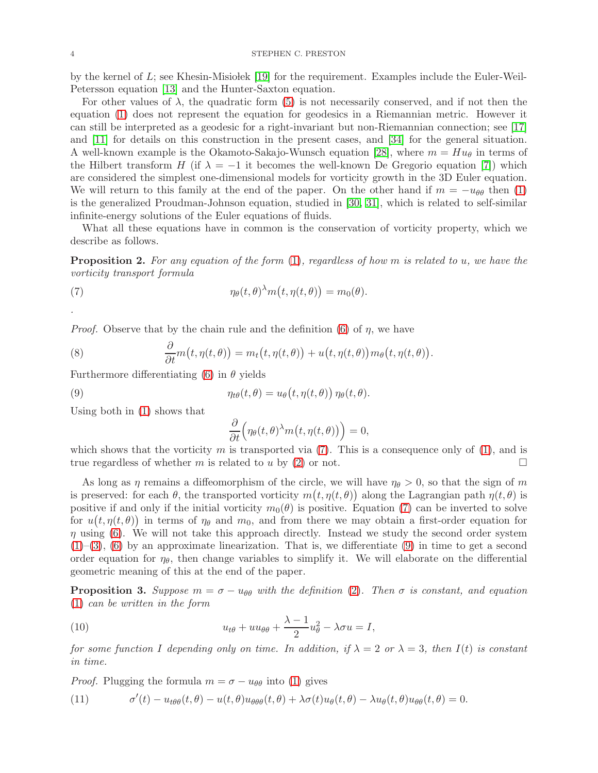by the kernel of  $L$ ; see Khesin-Misiolek [\[19\]](#page-22-14) for the requirement. Examples include the Euler-Weil-Petersson equation [\[13\]](#page-22-15) and the Hunter-Saxton equation.

For other values of  $\lambda$ , the quadratic form [\(5\)](#page-2-1) is not necessarily conserved, and if not then the equation [\(1\)](#page-0-2) does not represent the equation for geodesics in a Riemannian metric. However it can still be interpreted as a geodesic for a right-invariant but non-Riemannian connection; see [\[17\]](#page-22-7) and [\[11\]](#page-22-16) for details on this construction in the present cases, and [\[34\]](#page-22-17) for the general situation. A well-known example is the Okamoto-Sakajo-Wunsch equation [\[28\]](#page-22-18), where  $m = Hu_{\theta}$  in terms of the Hilbert transform H (if  $\lambda = -1$  it becomes the well-known De Gregorio equation [\[7\]](#page-21-2)) which are considered the simplest one-dimensional models for vorticity growth in the 3D Euler equation. We will return to this family at the end of the paper. On the other hand if  $m = -u_{\theta\theta}$  then [\(1\)](#page-0-2) is the generalized Proudman-Johnson equation, studied in [\[30,](#page-22-0) [31\]](#page-22-1), which is related to self-similar infinite-energy solutions of the Euler equations of fluids.

What all these equations have in common is the conservation of vorticity property, which we describe as follows.

**Proposition 2.** For any equation of the form  $(1)$ , regardless of how m is related to u, we have the vorticity transport formula

(7) 
$$
\eta_{\theta}(t,\theta)^{\lambda} m(t,\eta(t,\theta)) = m_0(\theta).
$$

*Proof.* Observe that by the chain rule and the definition [\(6\)](#page-2-2) of  $\eta$ , we have

<span id="page-3-4"></span>(8) 
$$
\frac{\partial}{\partial t}m(t,\eta(t,\theta)) = m_t(t,\eta(t,\theta)) + u(t,\eta(t,\theta))m_\theta(t,\eta(t,\theta)).
$$

Furthermore differentiating [\(6\)](#page-2-2) in  $\theta$  yields

(9) 
$$
\eta_{t\theta}(t,\theta) = u_{\theta}(t,\eta(t,\theta)) \eta_{\theta}(t,\theta).
$$

Using both in [\(1\)](#page-0-2) shows that

<span id="page-3-1"></span><span id="page-3-0"></span>
$$
\frac{\partial}{\partial t} \Big( \eta_{\theta}(t,\theta)^{\lambda} m(t,\eta(t,\theta)) \Big) = 0,
$$

which shows that the vorticity  $m$  is transported via [\(7\)](#page-3-0). This is a consequence only of [\(1\)](#page-0-2), and is true regardless of whether m is related to u by [\(2\)](#page-0-3) or not.

As long as  $\eta$  remains a diffeomorphism of the circle, we will have  $\eta_{\theta} > 0$ , so that the sign of m is preserved: for each  $\theta$ , the transported vorticity  $m(t, \eta(t, \theta))$  along the Lagrangian path  $\eta(t, \theta)$  is positive if and only if the initial vorticity  $m_0(\theta)$  is positive. Equation [\(7\)](#page-3-0) can be inverted to solve for  $u(t, \eta(t, \theta))$  in terms of  $\eta_{\theta}$  and  $m_0$ , and from there we may obtain a first-order equation for  $\eta$  using [\(6\)](#page-2-2). We will not take this approach directly. Instead we study the second order system  $(1)$ –[\(3\)](#page-0-1), [\(6\)](#page-2-2) by an approximate linearization. That is, we differentiate [\(9\)](#page-3-1) in time to get a second order equation for  $\eta_{\theta}$ , then change variables to simplify it. We will elaborate on the differential geometric meaning of this at the end of the paper.

**Proposition 3.** Suppose  $m = \sigma - u_{\theta\theta}$  with the definition [\(2\)](#page-0-3). Then  $\sigma$  is constant, and equation [\(1\)](#page-0-2) can be written in the form

<span id="page-3-3"></span>(10) 
$$
u_{t\theta} + uu_{\theta\theta} + \frac{\lambda - 1}{2}u_{\theta}^2 - \lambda \sigma u = I,
$$

for some function I depending only on time. In addition, if  $\lambda = 2$  or  $\lambda = 3$ , then I(t) is constant in time.

*Proof.* Plugging the formula  $m = \sigma - u_{\theta\theta}$  into [\(1\)](#page-0-2) gives

<span id="page-3-2"></span>(11) 
$$
\sigma'(t) - u_{t\theta\theta}(t,\theta) - u(t,\theta)u_{\theta\theta\theta}(t,\theta) + \lambda\sigma(t)u_{\theta}(t,\theta) - \lambda u_{\theta}(t,\theta)u_{\theta\theta}(t,\theta) = 0
$$

.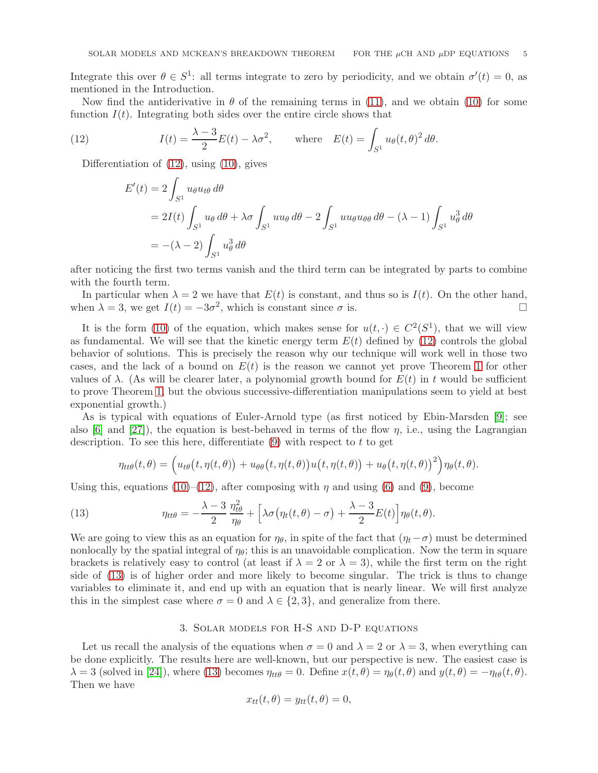Integrate this over  $\theta \in S^1$ : all terms integrate to zero by periodicity, and we obtain  $\sigma'(t) = 0$ , as mentioned in the Introduction.

Now find the antiderivative in  $\theta$  of the remaining terms in [\(11\)](#page-3-2), and we obtain [\(10\)](#page-3-3) for some function  $I(t)$ . Integrating both sides over the entire circle shows that

(12) 
$$
I(t) = \frac{\lambda - 3}{2}E(t) - \lambda \sigma^2, \quad \text{where} \quad E(t) = \int_{S^1} u_\theta(t, \theta)^2 d\theta.
$$

Differentiation of [\(12\)](#page-4-1), using [\(10\)](#page-3-3), gives

<span id="page-4-1"></span>
$$
E'(t) = 2 \int_{S^1} u_{\theta} u_{t\theta} d\theta
$$
  
= 2I(t)  $\int_{S^1} u_{\theta} d\theta + \lambda \sigma \int_{S^1} u u_{\theta} d\theta - 2 \int_{S^1} u u_{\theta} u_{\theta\theta} d\theta - (\lambda - 1) \int_{S^1} u_{\theta}^3 d\theta$   
= -(\lambda - 2)  $\int_{S^1} u_{\theta}^3 d\theta$ 

after noticing the first two terms vanish and the third term can be integrated by parts to combine with the fourth term.

In particular when  $\lambda = 2$  we have that  $E(t)$  is constant, and thus so is  $I(t)$ . On the other hand, when  $\lambda = 3$ , we get  $I(t) = -3\sigma^2$ , which is constant since  $\sigma$  is.

It is the form [\(10\)](#page-3-3) of the equation, which makes sense for  $u(t, \cdot) \in C^2(S^1)$ , that we will view as fundamental. We will see that the kinetic energy term  $E(t)$  defined by [\(12\)](#page-4-1) controls the global behavior of solutions. This is precisely the reason why our technique will work well in those two cases, and the lack of a bound on  $E(t)$  is the reason we cannot yet prove Theorem [1](#page-1-0) for other values of  $\lambda$ . (As will be clearer later, a polynomial growth bound for  $E(t)$  in t would be sufficient to prove Theorem [1,](#page-1-0) but the obvious successive-differentiation manipulations seem to yield at best exponential growth.)

As is typical with equations of Euler-Arnold type (as first noticed by Ebin-Marsden [\[9\]](#page-22-19); see also [\[6\]](#page-21-3) and [\[27\]](#page-22-20)), the equation is best-behaved in terms of the flow  $\eta$ , i.e., using the Lagrangian description. To see this here, differentiate  $(9)$  with respect to t to get

<span id="page-4-2"></span>
$$
\eta_{tt\theta}(t,\theta) = \left(u_{t\theta}(t,\eta(t,\theta)) + u_{\theta\theta}(t,\eta(t,\theta))u\big(t,\eta(t,\theta)\big) + u_{\theta}(t,\eta(t,\theta))^2\right)\eta_{\theta}(t,\theta).
$$

Using this, equations [\(10\)](#page-3-3)–[\(12\)](#page-4-1), after composing with  $\eta$  and using [\(6\)](#page-2-2) and [\(9\)](#page-3-1), become

(13) 
$$
\eta_{tt\theta} = -\frac{\lambda - 3}{2} \frac{\eta_{t\theta}^2}{\eta_{\theta}} + \left[ \lambda \sigma (\eta_t(t, \theta) - \sigma) + \frac{\lambda - 3}{2} E(t) \right] \eta_{\theta}(t, \theta).
$$

We are going to view this as an equation for  $\eta_{\theta}$ , in spite of the fact that  $(\eta_t-\sigma)$  must be determined nonlocally by the spatial integral of  $\eta_{\theta}$ ; this is an unavoidable complication. Now the term in square brackets is relatively easy to control (at least if  $\lambda = 2$  or  $\lambda = 3$ ), while the first term on the right side of [\(13\)](#page-4-2) is of higher order and more likely to become singular. The trick is thus to change variables to eliminate it, and end up with an equation that is nearly linear. We will first analyze this in the simplest case where  $\sigma = 0$  and  $\lambda \in \{2, 3\}$ , and generalize from there.

### 3. Solar models for H-S and D-P equations

<span id="page-4-0"></span>Let us recall the analysis of the equations when  $\sigma = 0$  and  $\lambda = 2$  or  $\lambda = 3$ , when everything can be done explicitly. The results here are well-known, but our perspective is new. The easiest case is  $\lambda = 3$  (solved in [\[24\]](#page-22-4)), where [\(13\)](#page-4-2) becomes  $\eta_{tt\theta} = 0$ . Define  $x(t, \theta) = \eta_{\theta}(t, \theta)$  and  $y(t, \theta) = -\eta_{t\theta}(t, \theta)$ . Then we have

$$
x_{tt}(t,\theta) = y_{tt}(t,\theta) = 0,
$$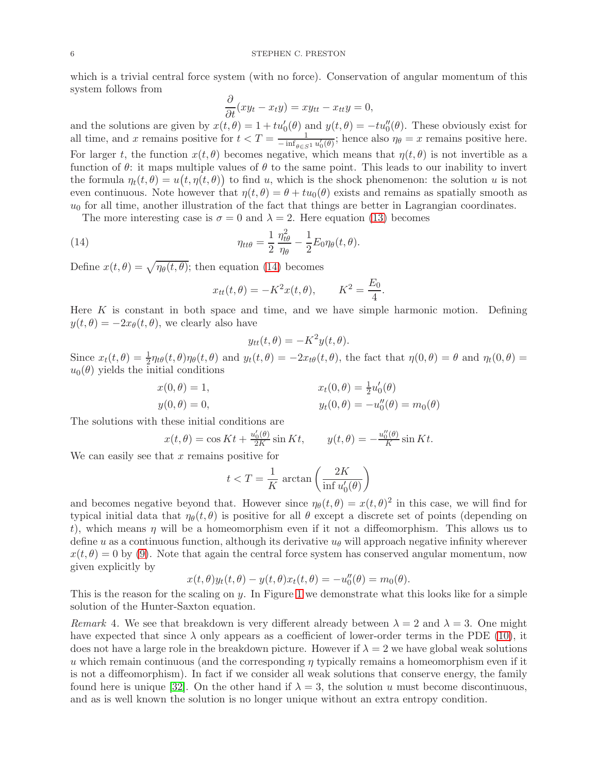which is a trivial central force system (with no force). Conservation of angular momentum of this system follows from

$$
\frac{\partial}{\partial t}(xy_t - x_t y) = xy_{tt} - x_{tt}y = 0,
$$

and the solutions are given by  $x(t, \theta) = 1 + tu'_0(\theta)$  and  $y(t, \theta) = -tu''_0(\theta)$ . These obviously exist for all time, and x remains positive for  $t < T = \frac{1}{\sinh(t)}$  $\frac{1}{-\inf_{\theta \in S^1} u'_0(\theta)}$ ; hence also  $\eta_\theta = x$  remains positive here. For larger t, the function  $x(t, \theta)$  becomes negative, which means that  $\eta(t, \theta)$  is not invertible as a function of  $\theta$ : it maps multiple values of  $\theta$  to the same point. This leads to our inability to invert the formula  $\eta_t(t, \theta) = u(t, \eta(t, \theta))$  to find u, which is the shock phenomenon: the solution u is not even continuous. Note however that  $\eta(t, \theta) = \theta + tu_0(\theta)$  exists and remains as spatially smooth as  $u_0$  for all time, another illustration of the fact that things are better in Lagrangian coordinates.

The more interesting case is  $\sigma = 0$  and  $\lambda = 2$ . Here equation [\(13\)](#page-4-2) becomes

(14) 
$$
\eta_{tt\theta} = \frac{1}{2} \frac{\eta_{t\theta}^2}{\eta_{\theta}} - \frac{1}{2} E_0 \eta_{\theta}(t, \theta).
$$

Define  $x(t, \theta) = \sqrt{\eta_{\theta}(t, \theta)}$ ; then equation [\(14\)](#page-5-0) becomes

<span id="page-5-0"></span>
$$
x_{tt}(t, \theta) = -K^2 x(t, \theta), \qquad K^2 = \frac{E_0}{4}.
$$

Here  $K$  is constant in both space and time, and we have simple harmonic motion. Defining  $y(t, \theta) = -2x_{\theta}(t, \theta)$ , we clearly also have

$$
y_{tt}(t,\theta) = -K^2 y(t,\theta).
$$

Since  $x_t(t, \theta) = \frac{1}{2} \eta_{t\theta}(t, \theta) \eta_{\theta}(t, \theta)$  and  $y_t(t, \theta) = -2x_{t\theta}(t, \theta)$ , the fact that  $\eta(0, \theta) = \theta$  and  $\eta_t(0, \theta) =$  $u_0(\theta)$  yields the initial conditions

$$
x(0, \theta) = 1, \n y(0, \theta) = 0, \n yt(0, \theta) = -u''_0(\theta) = m_0(\theta)
$$

The solutions with these initial conditions are

$$
x(t,\theta) = \cos Kt + \frac{u_0'(\theta)}{2K}\sin Kt, \qquad y(t,\theta) = -\frac{u_0''(\theta)}{K}\sin Kt.
$$

We can easily see that  $x$  remains positive for

$$
t < T = \frac{1}{K} \arctan\left(\frac{2K}{\inf u'_0(\theta)}\right)
$$

and becomes negative beyond that. However since  $\eta_{\theta}(t,\theta) = x(t,\theta)^2$  in this case, we will find for typical initial data that  $\eta_{\theta}(t, \theta)$  is positive for all  $\theta$  except a discrete set of points (depending on t), which means  $\eta$  will be a homeomorphism even if it not a diffeomorphism. This allows us to define u as a continuous function, although its derivative  $u_{\theta}$  will approach negative infinity wherever  $x(t, \theta) = 0$  by [\(9\)](#page-3-1). Note that again the central force system has conserved angular momentum, now given explicitly by

$$
x(t,\theta)y_t(t,\theta) - y(t,\theta)x_t(t,\theta) = -u''_0(\theta) = m_0(\theta).
$$

This is the reason for the scaling on y. In Figure [1](#page-6-0) we demonstrate what this looks like for a simple solution of the Hunter-Saxton equation.

<span id="page-5-1"></span>Remark 4. We see that breakdown is very different already between  $\lambda = 2$  and  $\lambda = 3$ . One might have expected that since  $\lambda$  only appears as a coefficient of lower-order terms in the PDE [\(10\)](#page-3-3), it does not have a large role in the breakdown picture. However if  $\lambda = 2$  we have global weak solutions u which remain continuous (and the corresponding  $\eta$  typically remains a homeomorphism even if it is not a diffeomorphism). In fact if we consider all weak solutions that conserve energy, the family found here is unique [\[32\]](#page-22-21). On the other hand if  $\lambda = 3$ , the solution u must become discontinuous, and as is well known the solution is no longer unique without an extra entropy condition.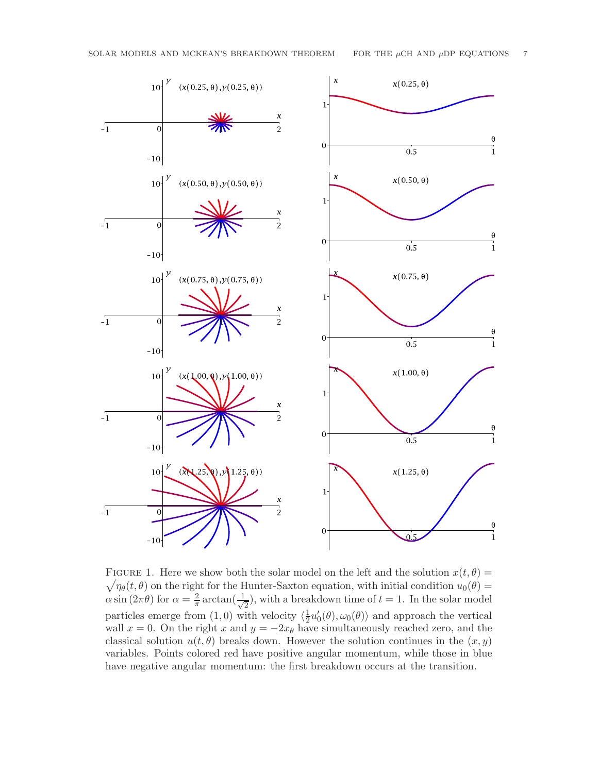

<span id="page-6-0"></span> $\sqrt{\eta_{\theta}(t,\theta)}$  on the right for the Hunter-Saxton equation, with initial condition  $u_0(\theta)$  = FIGURE 1. Here we show both the solar model on the left and the solution  $x(t, \theta) =$  $\alpha \sin(2\pi\theta)$  for  $\alpha = \frac{2}{\pi}$  $rac{2}{\pi} \arctan(\frac{1}{\sqrt{2}})$  $(\frac{1}{2})$ , with a breakdown time of  $t = 1$ . In the solar model particles emerge from  $(1,0)$  with velocity  $\langle \frac{1}{2} \rangle$  $\frac{1}{2}u_0'(\theta), \omega_0(\theta)\rangle$  and approach the vertical wall  $x = 0$ . On the right x and  $y = -2x_\theta$  have simultaneously reached zero, and the classical solution  $u(t, \theta)$  breaks down. However the solution continues in the  $(x, y)$ variables. Points colored red have positive angular momentum, while those in blue have negative angular momentum: the first breakdown occurs at the transition.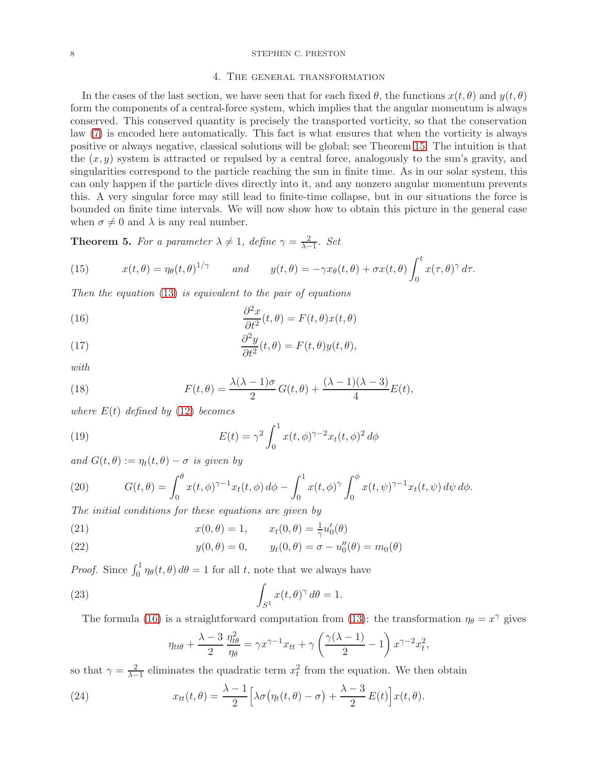### <span id="page-7-0"></span>8 STEPHEN C. PRESTON

#### 4. The general transformation

In the cases of the last section, we have seen that for each fixed  $\theta$ , the functions  $x(t, \theta)$  and  $y(t, \theta)$ form the components of a central-force system, which implies that the angular momentum is always conserved. This conserved quantity is precisely the transported vorticity, so that the conservation law [\(7\)](#page-3-0) is encoded here automatically. This fact is what ensures that when the vorticity is always positive or always negative, classical solutions will be global; see Theorem [15.](#page-15-1) The intuition is that the  $(x, y)$  system is attracted or repulsed by a central force, analogously to the sun's gravity, and singularities correspond to the particle reaching the sun in finite time. As in our solar system, this can only happen if the particle dives directly into it, and any nonzero angular momentum prevents this. A very singular force may still lead to finite-time collapse, but in our situations the force is bounded on finite time intervals. We will now show how to obtain this picture in the general case when  $\sigma \neq 0$  and  $\lambda$  is any real number.

<span id="page-7-8"></span>**Theorem 5.** For a parameter  $\lambda \neq 1$ , define  $\gamma = \frac{2}{\lambda - 1}$  $\frac{2}{\lambda-1}$ . Set

<span id="page-7-6"></span>(15) 
$$
x(t,\theta) = \eta_{\theta}(t,\theta)^{1/\gamma} \quad \text{and} \quad y(t,\theta) = -\gamma x_{\theta}(t,\theta) + \sigma x(t,\theta) \int_0^t x(\tau,\theta)^{\gamma} d\tau.
$$

Then the equation [\(13\)](#page-4-2) is equivalent to the pair of equations

<span id="page-7-1"></span>(16) 
$$
\frac{\partial^2 x}{\partial t^2}(t,\theta) = F(t,\theta)x(t,\theta)
$$

<span id="page-7-5"></span>(17) 
$$
\frac{\partial^2 y}{\partial t^2}(t,\theta) = F(t,\theta)y(t,\theta),
$$

with

<span id="page-7-7"></span>(18) 
$$
F(t,\theta) = \frac{\lambda(\lambda-1)\sigma}{2}G(t,\theta) + \frac{(\lambda-1)(\lambda-3)}{4}E(t),
$$

where  $E(t)$  defined by [\(12\)](#page-4-1) becomes

<span id="page-7-9"></span>(19) 
$$
E(t) = \gamma^2 \int_0^1 x(t, \phi)^{\gamma - 2} x_t(t, \phi)^2 d\phi
$$

and  $G(t, \theta) := \eta_t(t, \theta) - \sigma$  is given by

<span id="page-7-2"></span>(20) 
$$
G(t,\theta) = \int_0^{\theta} x(t,\phi)^{\gamma-1} x_t(t,\phi) d\phi - \int_0^1 x(t,\phi)^{\gamma} \int_0^{\phi} x(t,\psi)^{\gamma-1} x_t(t,\psi) d\psi d\phi.
$$

The initial conditions for these equations are given by

(21) 
$$
x(0, \theta) = 1, \qquad x_t(0, \theta) = \frac{1}{\gamma} u'_0(\theta)
$$

(22) 
$$
y(0, \theta) = 0, \qquad y_t(0, \theta) = \sigma - u''_0(\theta) = m_0(\theta)
$$

*Proof.* Since  $\int_0^1 \eta_\theta(t, \theta) d\theta = 1$  for all t, note that we always have

(23) 
$$
\int_{S^1} x(t,\theta)^\gamma d\theta = 1.
$$

The formula [\(16\)](#page-7-1) is a straightforward computation from [\(13\)](#page-4-2): the transformation  $\eta_{\theta} = x^{\gamma}$  gives

,

<span id="page-7-4"></span><span id="page-7-3"></span>
$$
\eta_{tt\theta} + \frac{\lambda - 3}{2} \frac{\eta_{t\theta}^2}{\eta_{\theta}} = \gamma x^{\gamma - 1} x_{tt} + \gamma \left( \frac{\gamma (\lambda - 1)}{2} - 1 \right) x^{\gamma - 2} x_t^2
$$

so that  $\gamma = \frac{2}{\lambda - 1}$  $\frac{2}{\lambda-1}$  eliminates the quadratic term  $x_t^2$  from the equation. We then obtain

(24) 
$$
x_{tt}(t,\theta) = \frac{\lambda - 1}{2} \Big[ \lambda \sigma \big( \eta_t(t,\theta) - \sigma \big) + \frac{\lambda - 3}{2} E(t) \Big] x(t,\theta).
$$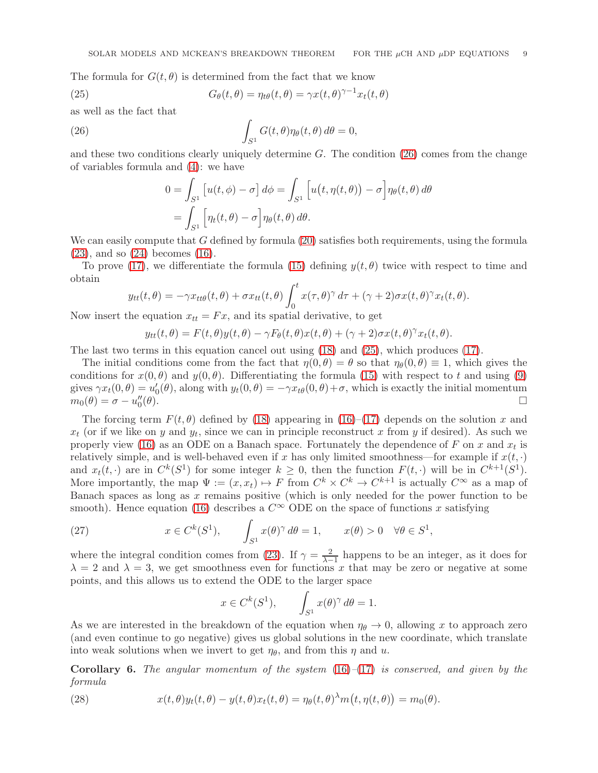The formula for  $G(t, \theta)$  is determined from the fact that we know

(25) 
$$
G_{\theta}(t,\theta) = \eta_{t\theta}(t,\theta) = \gamma x(t,\theta)^{\gamma-1} x_t(t,\theta)
$$

as well as the fact that

(26) 
$$
\int_{S^1} G(t,\theta)\eta_{\theta}(t,\theta)\,d\theta = 0,
$$

and these two conditions clearly uniquely determine  $G$ . The condition [\(26\)](#page-8-0) comes from the change of variables formula and [\(4\)](#page-1-1): we have

<span id="page-8-1"></span><span id="page-8-0"></span>
$$
0 = \int_{S^1} \left[ u(t, \phi) - \sigma \right] d\phi = \int_{S^1} \left[ u(t, \eta(t, \theta)) - \sigma \right] \eta_{\theta}(t, \theta) d\theta
$$

$$
= \int_{S^1} \left[ \eta_t(t, \theta) - \sigma \right] \eta_{\theta}(t, \theta) d\theta.
$$

We can easily compute that  $G$  defined by formula  $(20)$  satisfies both requirements, using the formula  $(23)$ , and so  $(24)$  becomes  $(16)$ .

To prove [\(17\)](#page-7-5), we differentiate the formula [\(15\)](#page-7-6) defining  $y(t, \theta)$  twice with respect to time and obtain

$$
y_{tt}(t,\theta) = -\gamma x_{tt\theta}(t,\theta) + \sigma x_{tt}(t,\theta) \int_0^t x(\tau,\theta)^\gamma d\tau + (\gamma+2)\sigma x(t,\theta)^\gamma x_t(t,\theta).
$$

Now insert the equation  $x_{tt} = Fx$ , and its spatial derivative, to get

$$
y_{tt}(t,\theta) = F(t,\theta)y(t,\theta) - \gamma F_{\theta}(t,\theta)x(t,\theta) + (\gamma + 2)\sigma x(t,\theta)^{\gamma}x_t(t,\theta).
$$

The last two terms in this equation cancel out using [\(18\)](#page-7-7) and [\(25\)](#page-8-1), which produces [\(17\)](#page-7-5).

The initial conditions come from the fact that  $\eta(0, \theta) = \theta$  so that  $\eta_{\theta}(0, \theta) \equiv 1$ , which gives the conditions for  $x(0, \theta)$  and  $y(0, \theta)$ . Differentiating the formula [\(15\)](#page-7-6) with respect to t and using [\(9\)](#page-3-1) gives  $\gamma x_t(0, \theta) = u'_0(\theta)$ , along with  $y_t(0, \theta) = -\gamma x_{t\theta}(0, \theta) + \sigma$ , which is exactly the initial momentum  $m_0(\theta) = \sigma - u''_0$  $(\theta)$ .

The forcing term  $F(t, \theta)$  defined by [\(18\)](#page-7-7) appearing in [\(16\)](#page-7-1)–[\(17\)](#page-7-5) depends on the solution x and  $x_t$  (or if we like on y and  $y_t$ , since we can in principle reconstruct x from y if desired). As such we properly view [\(16\)](#page-7-1) as an ODE on a Banach space. Fortunately the dependence of F on x and  $x_t$  is relatively simple, and is well-behaved even if x has only limited smoothness—for example if  $x(t, \cdot)$ and  $x_t(t, \cdot)$  are in  $C^k(S^1)$  for some integer  $k \geq 0$ , then the function  $F(t, \cdot)$  will be in  $C^{k+1}(S^1)$ . More importantly, the map  $\Psi := (x, x_t) \mapsto F$  from  $C^k \times C^k \to C^{k+1}$  is actually  $C^{\infty}$  as a map of Banach spaces as long as  $x$  remains positive (which is only needed for the power function to be smooth). Hence equation [\(16\)](#page-7-1) describes a  $C^{\infty}$  ODE on the space of functions x satisfying

(27) 
$$
x \in C^{k}(S^{1}), \qquad \int_{S^{1}} x(\theta)^{\gamma} d\theta = 1, \qquad x(\theta) > 0 \quad \forall \theta \in S^{1},
$$

where the integral condition comes from [\(23\)](#page-7-3). If  $\gamma = \frac{2}{\lambda - 1}$  happens to be an integer, as it does for  $\lambda = 2$  and  $\lambda = 3$ , we get smoothness even for functions x that may be zero or negative at some points, and this allows us to extend the ODE to the larger space

$$
x \in C^k(S^1), \qquad \int_{S^1} x(\theta)^\gamma \, d\theta = 1.
$$

As we are interested in the breakdown of the equation when  $\eta_{\theta} \to 0$ , allowing x to approach zero (and even continue to go negative) gives us global solutions in the new coordinate, which translate into weak solutions when we invert to get  $\eta_{\theta}$ , and from this  $\eta$  and u.

**Corollary 6.** The angular momentum of the system  $(16)-(17)$  $(16)-(17)$  $(16)-(17)$  is conserved, and given by the formula

<span id="page-8-2"></span>(28) 
$$
x(t,\theta)y_t(t,\theta) - y(t,\theta)x_t(t,\theta) = \eta_\theta(t,\theta)^\lambda m(t,\eta(t,\theta)) = m_0(\theta).
$$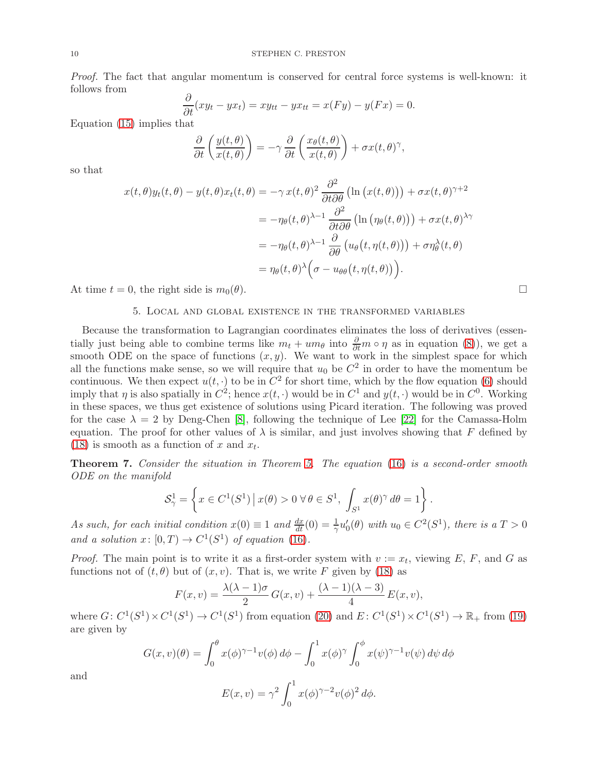Proof. The fact that angular momentum is conserved for central force systems is well-known: it follows from ∂

$$
\frac{\partial}{\partial t}(xy_t - yx_t) = xy_{tt} - yx_{tt} = x(Fy) - y(Fx) = 0.
$$

Equation [\(15\)](#page-7-6) implies that

$$
\frac{\partial}{\partial t}\left(\frac{y(t,\theta)}{x(t,\theta)}\right) = -\gamma \frac{\partial}{\partial t}\left(\frac{x_{\theta}(t,\theta)}{x(t,\theta)}\right) + \sigma x(t,\theta)^{\gamma},
$$

so that

$$
x(t,\theta)y_t(t,\theta) - y(t,\theta)x_t(t,\theta) = -\gamma x(t,\theta)^2 \frac{\partial^2}{\partial t \partial \theta} \left( \ln (x(t,\theta)) \right) + \sigma x(t,\theta)^{\gamma+2}
$$
  

$$
= -\eta_\theta(t,\theta)^{\lambda-1} \frac{\partial^2}{\partial t \partial \theta} \left( \ln (\eta_\theta(t,\theta)) \right) + \sigma x(t,\theta)^{\lambda \gamma}
$$
  

$$
= -\eta_\theta(t,\theta)^{\lambda-1} \frac{\partial}{\partial \theta} \left( u_\theta \left( t, \eta(t,\theta) \right) \right) + \sigma \eta_\theta^{\lambda}(t,\theta)
$$
  

$$
= \eta_\theta(t,\theta)^{\lambda} \left( \sigma - u_{\theta\theta} \left( t, \eta(t,\theta) \right) \right).
$$

<span id="page-9-0"></span>At time  $t = 0$ , the right side is  $m_0(\theta)$ .

### 5. Local and global existence in the transformed variables

Because the transformation to Lagrangian coordinates eliminates the loss of derivatives (essentially just being able to combine terms like  $m_t + um_\theta$  into  $\frac{\partial}{\partial t} m \circ \eta$  as in equation [\(8\)](#page-3-4)), we get a smooth ODE on the space of functions  $(x, y)$ . We want to work in the simplest space for which all the functions make sense, so we will require that  $u_0$  be  $C^2$  in order to have the momentum be continuous. We then expect  $u(t, \cdot)$  to be in  $C^2$  for short time, which by the flow equation [\(6\)](#page-2-2) should imply that  $\eta$  is also spatially in  $C^2$ ; hence  $x(t, \cdot)$  would be in  $C^1$  and  $y(t, \cdot)$  would be in  $C^0$ . Working in these spaces, we thus get existence of solutions using Picard iteration. The following was proved for the case  $\lambda = 2$  by Deng-Chen [\[8\]](#page-21-4), following the technique of Lee [\[22\]](#page-22-22) for the Camassa-Holm equation. The proof for other values of  $\lambda$  is similar, and just involves showing that F defined by [\(18\)](#page-7-7) is smooth as a function of x and  $x_t$ .

Theorem 7. Consider the situation in Theorem [5.](#page-7-8) The equation [\(16\)](#page-7-1) is a second-order smooth ODE on the manifold

$$
\mathcal{S}_{\gamma}^{1} = \left\{ x \in C^{1}(S^{1}) \, | \, x(\theta) > 0 \, \forall \, \theta \in S^{1}, \, \int_{S^{1}} x(\theta)^{\gamma} \, d\theta = 1 \right\}.
$$

As such, for each initial condition  $x(0) \equiv 1$  and  $\frac{dx}{dt}(0) = \frac{1}{\gamma}u'_0(\theta)$  with  $u_0 \in C^2(S^1)$ , there is a  $T > 0$ and a solution  $x: [0,T) \to C^1(S^1)$  of equation [\(16\)](#page-7-1).

*Proof.* The main point is to write it as a first-order system with  $v := x_t$ , viewing E, F, and G as functions not of  $(t, \theta)$  but of  $(x, v)$ . That is, we write F given by [\(18\)](#page-7-7) as

$$
F(x,v) = \frac{\lambda(\lambda-1)\sigma}{2}G(x,v) + \frac{(\lambda-1)(\lambda-3)}{4}E(x,v),
$$

where  $G: C^1(S^1) \times C^1(S^1) \to C^1(S^1)$  from equation [\(20\)](#page-7-2) and  $E: C^1(S^1) \times C^1(S^1) \to \mathbb{R}_+$  from [\(19\)](#page-7-9) are given by

$$
G(x,v)(\theta) = \int_0^{\theta} x(\phi)^{\gamma-1} v(\phi) d\phi - \int_0^1 x(\phi)^{\gamma} \int_0^{\phi} x(\psi)^{\gamma-1} v(\psi) d\psi d\phi
$$

$$
E(x,v) = \gamma^2 \int_0^1 x(\phi)^{\gamma-2} v(\phi)^2 d\phi.
$$

and

$$
E(x,v) = \gamma^2 \int_0^1 x(\phi)^{\gamma-2} v(\phi)^2 d\phi.
$$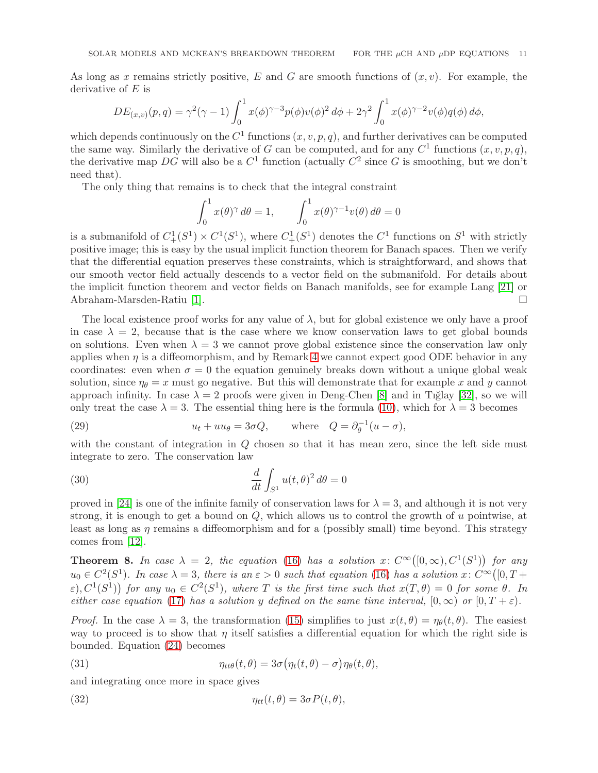As long as x remains strictly positive, E and G are smooth functions of  $(x, y)$ . For example, the derivative of  $E$  is

$$
DE_{(x,v)}(p,q) = \gamma^2(\gamma - 1) \int_0^1 x(\phi)^{\gamma - 3} p(\phi) v(\phi)^2 d\phi + 2\gamma^2 \int_0^1 x(\phi)^{\gamma - 2} v(\phi) q(\phi) d\phi,
$$

which depends continuously on the  $C^1$  functions  $(x, v, p, q)$ , and further derivatives can be computed the same way. Similarly the derivative of G can be computed, and for any  $C^1$  functions  $(x, v, p, q)$ , the derivative map DG will also be a  $C^1$  function (actually  $C^2$  since G is smoothing, but we don't need that).

The only thing that remains is to check that the integral constraint

$$
\int_0^1 x(\theta)^\gamma d\theta = 1, \qquad \int_0^1 x(\theta)^{\gamma - 1} v(\theta) d\theta = 0
$$

is a submanifold of  $C^1_+(S^1) \times C^1(S^1)$ , where  $C^1_+(S^1)$  denotes the  $C^1$  functions on  $S^1$  with strictly positive image; this is easy by the usual implicit function theorem for Banach spaces. Then we verify that the differential equation preserves these constraints, which is straightforward, and shows that our smooth vector field actually descends to a vector field on the submanifold. For details about the implicit function theorem and vector fields on Banach manifolds, see for example Lang [\[21\]](#page-22-23) or Abraham-Marsden-Ratiu [\[1\]](#page-21-5).

The local existence proof works for any value of  $\lambda$ , but for global existence we only have a proof in case  $\lambda = 2$ , because that is the case where we know conservation laws to get global bounds on solutions. Even when  $\lambda = 3$  we cannot prove global existence since the conservation law only applies when  $\eta$  is a diffeomorphism, and by Remark [4](#page-5-1) we cannot expect good ODE behavior in any coordinates: even when  $\sigma = 0$  the equation genuinely breaks down without a unique global weak solution, since  $\eta_{\theta} = x$  must go negative. But this will demonstrate that for example x and y cannot approach infinity. In case  $\lambda = 2$  proofs were given in Deng-Chen [\[8\]](#page-21-4) and in Tiğlay [\[32\]](#page-22-21), so we will only treat the case  $\lambda = 3$ . The essential thing here is the formula [\(10\)](#page-3-3), which for  $\lambda = 3$  becomes

<span id="page-10-0"></span>(29) 
$$
u_t + uu_\theta = 3\sigma Q, \quad \text{where} \quad Q = \partial_\theta^{-1} (u - \sigma),
$$

with the constant of integration in Q chosen so that it has mean zero, since the left side must integrate to zero. The conservation law

<span id="page-10-1"></span>(30) 
$$
\frac{d}{dt} \int_{S^1} u(t,\theta)^2 d\theta = 0
$$

proved in [\[24\]](#page-22-4) is one of the infinite family of conservation laws for  $\lambda = 3$ , and although it is not very strong, it is enough to get a bound on  $Q$ , which allows us to control the growth of u pointwise, at least as long as  $\eta$  remains a diffeomorphism and for a (possibly small) time beyond. This strategy comes from [\[12\]](#page-22-8).

<span id="page-10-4"></span>**Theorem 8.** In case  $\lambda = 2$ , the equation [\(16\)](#page-7-1) has a solution x:  $C^{\infty}([0,\infty), C^1(S^1))$  for any  $u_0 \in C^2(S^1)$ . In case  $\lambda = 3$ , there is an  $\varepsilon > 0$  such that equation [\(16\)](#page-7-1) has a solution  $x: C^\infty([0, T +$  $(\varepsilon), C^1(S^1)$  for any  $u_0 \in C^2(S^1)$ , where T is the first time such that  $x(T, \theta) = 0$  for some  $\theta$ . In either case equation [\(17\)](#page-7-5) has a solution y defined on the same time interval,  $[0, \infty)$  or  $[0, T + \varepsilon)$ .

*Proof.* In the case  $\lambda = 3$ , the transformation [\(15\)](#page-7-6) simplifies to just  $x(t, \theta) = \eta_{\theta}(t, \theta)$ . The easiest way to proceed is to show that  $\eta$  itself satisfies a differential equation for which the right side is bounded. Equation [\(24\)](#page-7-4) becomes

<span id="page-10-3"></span>(31) 
$$
\eta_{tt\theta}(t,\theta) = 3\sigma \big(\eta_t(t,\theta) - \sigma\big)\eta_{\theta}(t,\theta),
$$

and integrating once more in space gives

<span id="page-10-2"></span>(32) 
$$
\eta_{tt}(t,\theta) = 3\sigma P(t,\theta),
$$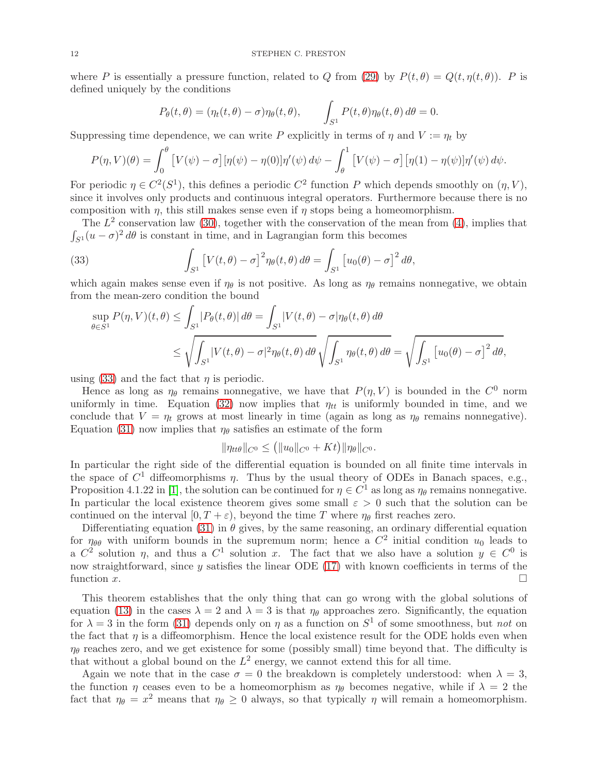where P is essentially a pressure function, related to Q from [\(29\)](#page-10-0) by  $P(t, \theta) = Q(t, \eta(t, \theta))$ . P is defined uniquely by the conditions

$$
P_{\theta}(t,\theta) = (\eta_t(t,\theta) - \sigma)\eta_{\theta}(t,\theta), \qquad \int_{S^1} P(t,\theta)\eta_{\theta}(t,\theta) d\theta = 0.
$$

Suppressing time dependence, we can write P explicitly in terms of  $\eta$  and  $V := \eta_t$  by

$$
P(\eta, V)(\theta) = \int_0^{\theta} \left[ V(\psi) - \sigma \right] [\eta(\psi) - \eta(0)] \eta'(\psi) d\psi - \int_{\theta}^1 \left[ V(\psi) - \sigma \right] [\eta(1) - \eta(\psi)] \eta'(\psi) d\psi.
$$

For periodic  $\eta \in C^2(S^1)$ , this defines a periodic  $C^2$  function P which depends smoothly on  $(\eta, V)$ , since it involves only products and continuous integral operators. Furthermore because there is no composition with  $\eta$ , this still makes sense even if  $\eta$  stops being a homeomorphism.

The  $L^2$  conservation law [\(30\)](#page-10-1), together with the conservation of the mean from [\(4\)](#page-1-1), implies that  $\int_{S^1}(u - \sigma)^2 d\theta$  is constant in time, and in Lagrangian form this becomes

(33) 
$$
\int_{S^1} \left[ V(t,\theta) - \sigma \right]^2 \eta_\theta(t,\theta) d\theta = \int_{S^1} \left[ u_0(\theta) - \sigma \right]^2 d\theta,
$$

which again makes sense even if  $\eta_{\theta}$  is not positive. As long as  $\eta_{\theta}$  remains nonnegative, we obtain from the mean-zero condition the bound

<span id="page-11-0"></span>
$$
\sup_{\theta \in S^1} P(\eta, V)(t, \theta) \le \int_{S^1} |P_{\theta}(t, \theta)| d\theta = \int_{S^1} |V(t, \theta) - \sigma| \eta_{\theta}(t, \theta) d\theta
$$
  

$$
\le \sqrt{\int_{S^1} |V(t, \theta) - \sigma|^2 \eta_{\theta}(t, \theta) d\theta} \sqrt{\int_{S^1} \eta_{\theta}(t, \theta) d\theta} = \sqrt{\int_{S^1} [u_0(\theta) - \sigma]^2 d\theta},
$$

using [\(33\)](#page-11-0) and the fact that  $\eta$  is periodic.

Hence as long as  $\eta_{\theta}$  remains nonnegative, we have that  $P(\eta, V)$  is bounded in the  $C^0$  norm uniformly in time. Equation [\(32\)](#page-10-2) now implies that  $\eta_{tt}$  is uniformly bounded in time, and we conclude that  $V = \eta_t$  grows at most linearly in time (again as long as  $\eta_\theta$  remains nonnegative). Equation [\(31\)](#page-10-3) now implies that  $\eta_{\theta}$  satisfies an estimate of the form

$$
\|\eta_{tt\theta}\|_{C^0} \le (\|u_0\|_{C^0} + Kt)\|\eta_{\theta}\|_{C^0}.
$$

In particular the right side of the differential equation is bounded on all finite time intervals in the space of  $C^1$  diffeomorphisms  $\eta$ . Thus by the usual theory of ODEs in Banach spaces, e.g., Proposition 4.1.22 in [\[1\]](#page-21-5), the solution can be continued for  $\eta \in C^1$  as long as  $\eta_\theta$  remains nonnegative. In particular the local existence theorem gives some small  $\varepsilon > 0$  such that the solution can be continued on the interval  $[0, T + \varepsilon)$ , beyond the time T where  $\eta_{\theta}$  first reaches zero.

Differentiating equation [\(31\)](#page-10-3) in  $\theta$  gives, by the same reasoning, an ordinary differential equation for  $\eta_{\theta\theta}$  with uniform bounds in the supremum norm; hence a  $C^2$  initial condition  $u_0$  leads to a  $C^2$  solution  $\eta$ , and thus a  $C^1$  solution x. The fact that we also have a solution  $y \in C^0$  is now straightforward, since  $y$  satisfies the linear ODE [\(17\)](#page-7-5) with known coefficients in terms of the function  $\overline{x}$ .

This theorem establishes that the only thing that can go wrong with the global solutions of equation [\(13\)](#page-4-2) in the cases  $\lambda = 2$  and  $\lambda = 3$  is that  $\eta_{\theta}$  approaches zero. Significantly, the equation for  $\lambda = 3$  in the form [\(31\)](#page-10-3) depends only on  $\eta$  as a function on  $S^1$  of some smoothness, but not on the fact that  $\eta$  is a diffeomorphism. Hence the local existence result for the ODE holds even when  $\eta_{\theta}$  reaches zero, and we get existence for some (possibly small) time beyond that. The difficulty is that without a global bound on the  $L^2$  energy, we cannot extend this for all time.

Again we note that in the case  $\sigma = 0$  the breakdown is completely understood: when  $\lambda = 3$ , the function  $\eta$  ceases even to be a homeomorphism as  $\eta_{\theta}$  becomes negative, while if  $\lambda = 2$  the fact that  $\eta_{\theta} = x^2$  means that  $\eta_{\theta} \ge 0$  always, so that typically  $\eta$  will remain a homeomorphism.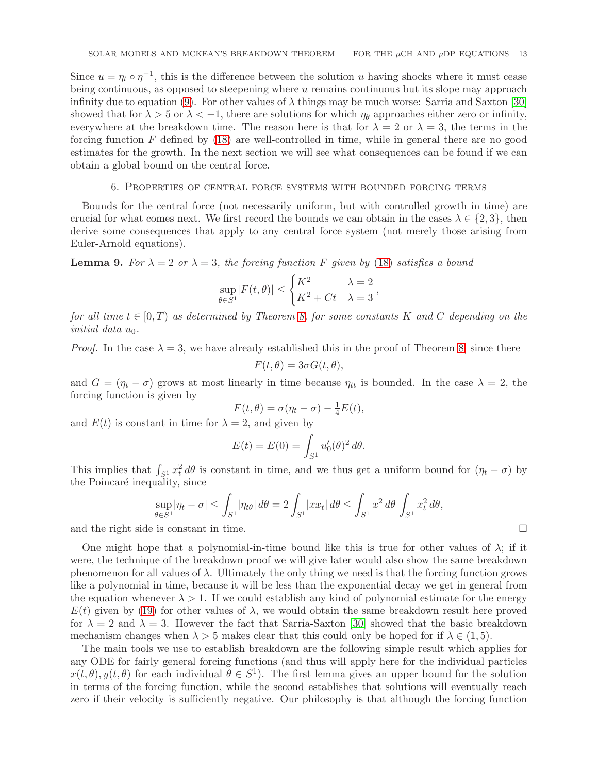Since  $u = \eta_t \circ \eta^{-1}$ , this is the difference between the solution u having shocks where it must cease being continuous, as opposed to steepening where  $u$  remains continuous but its slope may approach infinity due to equation [\(9\)](#page-3-1). For other values of  $\lambda$  things may be much worse: Sarria and Saxton [\[30\]](#page-22-0) showed that for  $\lambda > 5$  or  $\lambda < -1$ , there are solutions for which  $\eta_{\theta}$  approaches either zero or infinity, everywhere at the breakdown time. The reason here is that for  $\lambda = 2$  or  $\lambda = 3$ , the terms in the forcing function  $F$  defined by  $(18)$  are well-controlled in time, while in general there are no good estimates for the growth. In the next section we will see what consequences can be found if we can obtain a global bound on the central force.

### 6. Properties of central force systems with bounded forcing terms

<span id="page-12-0"></span>Bounds for the central force (not necessarily uniform, but with controlled growth in time) are crucial for what comes next. We first record the bounds we can obtain in the cases  $\lambda \in \{2,3\}$ , then derive some consequences that apply to any central force system (not merely those arising from Euler-Arnold equations).

<span id="page-12-1"></span>**Lemma 9.** For  $\lambda = 2$  or  $\lambda = 3$ , the forcing function F given by [\(18\)](#page-7-7) satisfies a bound

$$
\sup_{\theta \in S^1} |F(t, \theta)| \le \begin{cases} K^2 & \lambda = 2 \\ K^2 + Ct & \lambda = 3 \end{cases},
$$

for all time  $t \in [0, T)$  as determined by Theorem [8,](#page-10-4) for some constants K and C depending on the initial data u<sub>0</sub>.

*Proof.* In the case  $\lambda = 3$ , we have already established this in the proof of Theorem [8,](#page-10-4) since there

$$
F(t, \theta) = 3\sigma G(t, \theta),
$$

and  $G = (\eta_t - \sigma)$  grows at most linearly in time because  $\eta_{tt}$  is bounded. In the case  $\lambda = 2$ , the forcing function is given by

$$
F(t,\theta) = \sigma(\eta_t - \sigma) - \frac{1}{4}E(t),
$$

and  $E(t)$  is constant in time for  $\lambda = 2$ , and given by

$$
E(t) = E(0) = \int_{S^1} u'_0(\theta)^2 d\theta.
$$

This implies that  $\int_{S^1} x_t^2 d\theta$  is constant in time, and we thus get a uniform bound for  $(\eta_t - \sigma)$  by the Poincaré inequality, since

$$
\sup_{\theta \in S^1} |\eta_t - \sigma| \le \int_{S^1} |\eta_{t\theta}| \, d\theta = 2 \int_{S^1} |x x_t| \, d\theta \le \int_{S^1} x^2 \, d\theta \int_{S^1} x_t^2 \, d\theta,
$$
  
and the right side is constant in time.

One might hope that a polynomial-in-time bound like this is true for other values of  $\lambda$ ; if it were, the technique of the breakdown proof we will give later would also show the same breakdown phenomenon for all values of  $\lambda$ . Ultimately the only thing we need is that the forcing function grows like a polynomial in time, because it will be less than the exponential decay we get in general from the equation whenever  $\lambda > 1$ . If we could establish any kind of polynomial estimate for the energy  $E(t)$  given by [\(19\)](#page-7-9) for other values of  $\lambda$ , we would obtain the same breakdown result here proved for  $\lambda = 2$  and  $\lambda = 3$ . However the fact that Sarria-Saxton [\[30\]](#page-22-0) showed that the basic breakdown mechanism changes when  $\lambda > 5$  makes clear that this could only be hoped for if  $\lambda \in (1, 5)$ .

The main tools we use to establish breakdown are the following simple result which applies for any ODE for fairly general forcing functions (and thus will apply here for the individual particles  $x(t, \theta), y(t, \theta)$  for each individual  $\theta \in S^1$ . The first lemma gives an upper bound for the solution in terms of the forcing function, while the second establishes that solutions will eventually reach zero if their velocity is sufficiently negative. Our philosophy is that although the forcing function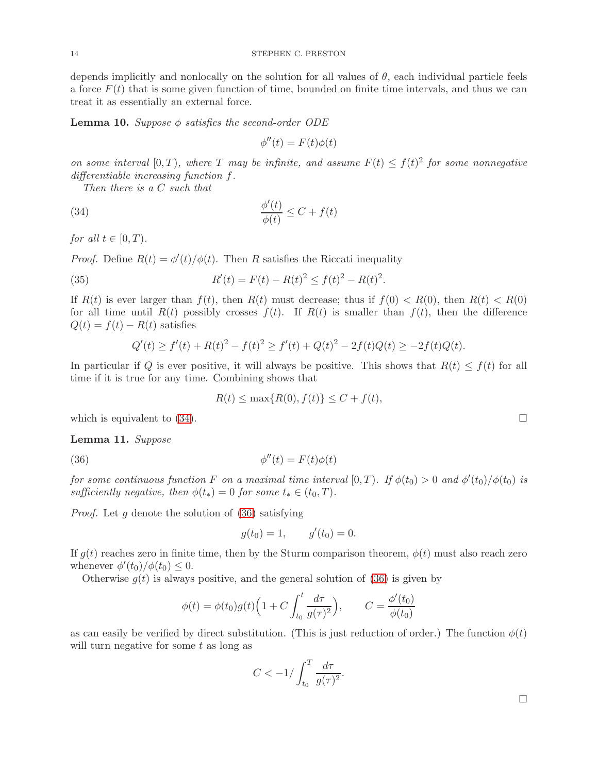depends implicitly and nonlocally on the solution for all values of  $\theta$ , each individual particle feels a force  $F(t)$  that is some given function of time, bounded on finite time intervals, and thus we can treat it as essentially an external force.

<span id="page-13-3"></span>**Lemma 10.** Suppose  $\phi$  satisfies the second-order ODE

<span id="page-13-0"></span>
$$
\phi''(t) = F(t)\phi(t)
$$

on some interval  $[0, T)$ , where T may be infinite, and assume  $F(t) \le f(t)^2$  for some nonnegative differentiable increasing function f.

Then there is a C such that

(34) 
$$
\frac{\phi'(t)}{\phi(t)} \leq C + f(t)
$$

for all  $t \in [0, T)$ .

*Proof.* Define  $R(t) = \phi'(t)/\phi(t)$ . Then R satisfies the Riccati inequality

(35) 
$$
R'(t) = F(t) - R(t)^2 \le f(t)^2 - R(t)^2.
$$

If  $R(t)$  is ever larger than  $f(t)$ , then  $R(t)$  must decrease; thus if  $f(0) < R(0)$ , then  $R(t) < R(0)$ for all time until  $R(t)$  possibly crosses  $f(t)$ . If  $R(t)$  is smaller than  $f(t)$ , then the difference  $Q(t) = f(t) - R(t)$  satisfies

$$
Q'(t) \ge f'(t) + R(t)^2 - f(t)^2 \ge f'(t) + Q(t)^2 - 2f(t)Q(t) \ge -2f(t)Q(t).
$$

In particular if Q is ever positive, it will always be positive. This shows that  $R(t) \leq f(t)$  for all time if it is true for any time. Combining shows that

<span id="page-13-1"></span>
$$
R(t) \le \max\{R(0), f(t)\} \le C + f(t),
$$

which is equivalent to  $(34)$ .

<span id="page-13-2"></span>Lemma 11. Suppose

(36) 
$$
\phi''(t) = F(t)\phi(t)
$$

for some continuous function F on a maximal time interval  $[0,T)$ . If  $\phi(t_0) > 0$  and  $\phi'(t_0)/\phi(t_0)$  is sufficiently negative, then  $\phi(t_*) = 0$  for some  $t_* \in (t_0, T)$ .

*Proof.* Let q denote the solution of  $(36)$  satisfying

$$
g(t_0) = 1,
$$
  $g'(t_0) = 0.$ 

If  $g(t)$  reaches zero in finite time, then by the Sturm comparison theorem,  $\phi(t)$  must also reach zero whenever  $\phi'(t_0)/\phi(t_0) \leq 0$ .

Otherwise  $g(t)$  is always positive, and the general solution of [\(36\)](#page-13-1) is given by

$$
\phi(t) = \phi(t_0)g(t)\Big(1 + C \int_{t_0}^t \frac{d\tau}{g(\tau)^2}\Big), \qquad C = \frac{\phi'(t_0)}{\phi(t_0)}
$$

as can easily be verified by direct substitution. (This is just reduction of order.) The function  $\phi(t)$ will turn negative for some  $t$  as long as

$$
C < -1 / \int_{t_0}^{T} \frac{d\tau}{g(\tau)^2}.
$$

 $\Box$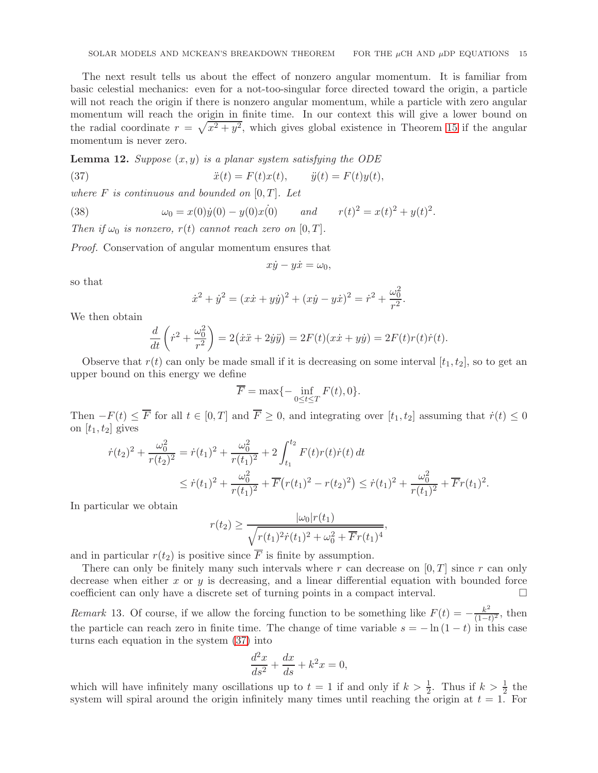The next result tells us about the effect of nonzero angular momentum. It is familiar from basic celestial mechanics: even for a not-too-singular force directed toward the origin, a particle will not reach the origin if there is nonzero angular momentum, while a particle with zero angular momentum will reach the origin in finite time. In our context this will give a lower bound on the radial coordinate  $r = \sqrt{x^2 + y^2}$ , which gives global existence in Theorem [15](#page-15-1) if the angular momentum is never zero.

<span id="page-14-1"></span>**Lemma 12.** Suppose  $(x, y)$  is a planar system satisfying the ODE

(37) 
$$
\ddot{x}(t) = F(t)x(t), \qquad \ddot{y}(t) = F(t)y(t),
$$

where  $F$  is continuous and bounded on  $[0, T]$ . Let

(38) 
$$
\omega_0 = x(0)\dot{y}(0) - y(0)x(0) \quad \text{and} \quad r(t)^2 = x(t)^2 + y(t)^2.
$$

Then if  $\omega_0$  is nonzero,  $r(t)$  cannot reach zero on  $[0, T]$ .

Proof. Conservation of angular momentum ensures that

<span id="page-14-0"></span>
$$
x\dot{y} - y\dot{x} = \omega_0,
$$

so that

$$
\dot{x}^2 + \dot{y}^2 = (x\dot{x} + y\dot{y})^2 + (x\dot{y} - y\dot{x})^2 = \dot{r}^2 + \frac{\omega_0^2}{r^2}.
$$

We then obtain

$$
\frac{d}{dt}\left(\dot{r}^2 + \frac{\omega_0^2}{r^2}\right) = 2(\dot{x}\ddot{x} + 2\dot{y}\ddot{y}) = 2F(t)(x\dot{x} + y\dot{y}) = 2F(t)r(t)\dot{r}(t).
$$

Observe that  $r(t)$  can only be made small if it is decreasing on some interval  $[t_1, t_2]$ , so to get an upper bound on this energy we define

$$
\overline{F} = \max\{-\inf_{0 \le t \le T} F(t), 0\}.
$$

Then  $-F(t) \leq \overline{F}$  for all  $t \in [0, T]$  and  $\overline{F} \geq 0$ , and integrating over  $[t_1, t_2]$  assuming that  $\dot{r}(t) \leq 0$ on  $[t_1, t_2]$  gives

$$
\dot{r}(t_2)^2 + \frac{\omega_0^2}{r(t_2)^2} = \dot{r}(t_1)^2 + \frac{\omega_0^2}{r(t_1)^2} + 2 \int_{t_1}^{t_2} F(t)r(t)\dot{r}(t) dt
$$
  

$$
\leq \dot{r}(t_1)^2 + \frac{\omega_0^2}{r(t_1)^2} + \overline{F}(r(t_1)^2 - r(t_2)^2) \leq \dot{r}(t_1)^2 + \frac{\omega_0^2}{r(t_1)^2} + \overline{F}r(t_1)^2.
$$

In particular we obtain

$$
r(t_2) \ge \frac{|\omega_0|r(t_1)}{\sqrt{r(t_1)^2 \dot{r}(t_1)^2 + \omega_0^2 + \overline{F}r(t_1)^4}},
$$

and in particular  $r(t_2)$  is positive since  $\overline{F}$  is finite by assumption.

There can only be finitely many such intervals where r can decrease on  $[0, T]$  since r can only decrease when either x or  $y$  is decreasing, and a linear differential equation with bounded force coefficient can only have a discrete set of turning points in a compact interval.

Remark 13. Of course, if we allow the forcing function to be something like  $F(t) = -\frac{k^2}{(1-t)^2}$  $\frac{k^2}{(1-t)^2}$ , then the particle can reach zero in finite time. The change of time variable  $s = -\ln(1-t)$  in this case turns each equation in the system [\(37\)](#page-14-0) into

$$
\frac{d^2x}{ds^2} + \frac{dx}{ds} + k^2x = 0,
$$

which will have infinitely many oscillations up to  $t = 1$  if and only if  $k > \frac{1}{2}$ . Thus if  $k > \frac{1}{2}$  the system will spiral around the origin infinitely many times until reaching the origin at  $t = 1$ . For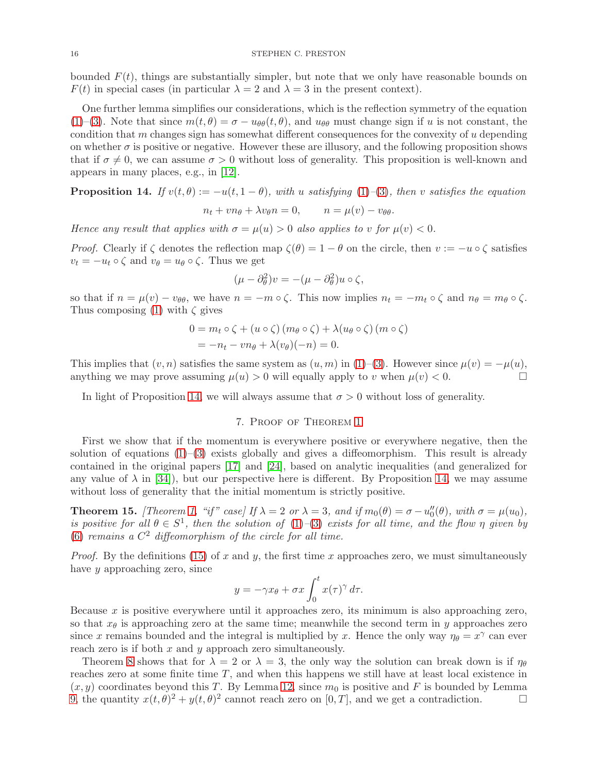bounded  $F(t)$ , things are substantially simpler, but note that we only have reasonable bounds on  $F(t)$  in special cases (in particular  $\lambda = 2$  and  $\lambda = 3$  in the present context).

One further lemma simplifies our considerations, which is the reflection symmetry of the equation [\(1\)](#page-0-2)–[\(3\)](#page-0-1). Note that since  $m(t, \theta) = \sigma - u_{\theta\theta}(t, \theta)$ , and  $u_{\theta\theta}$  must change sign if u is not constant, the condition that m changes sign has somewhat different consequences for the convexity of  $u$  depending on whether  $\sigma$  is positive or negative. However these are illusory, and the following proposition shows that if  $\sigma \neq 0$ , we can assume  $\sigma > 0$  without loss of generality. This proposition is well-known and appears in many places, e.g., in [\[12\]](#page-22-8).

<span id="page-15-2"></span>**Proposition 14.** If  $v(t, \theta) := -u(t, 1 - \theta)$ , with u satisfying [\(1\)](#page-0-2)–[\(3\)](#page-0-1), then v satisfies the equation  $n_t + v n_\theta + \lambda v_\theta n = 0, \qquad n = \mu(v) - v_{\theta\theta}.$ 

Hence any result that applies with  $\sigma = \mu(u) > 0$  also applies to v for  $\mu(v) < 0$ .

*Proof.* Clearly if  $\zeta$  denotes the reflection map  $\zeta(\theta) = 1 - \theta$  on the circle, then  $v := -u \circ \zeta$  satisfies  $v_t = -u_t \circ \zeta$  and  $v_\theta = u_\theta \circ \zeta$ . Thus we get

$$
(\mu - \partial_{\theta}^{2})v = -(\mu - \partial_{\theta}^{2})u \circ \zeta,
$$

so that if  $n = \mu(v) - v_{\theta\theta}$ , we have  $n = -m \circ \zeta$ . This now implies  $n_t = -m_t \circ \zeta$  and  $n_\theta = m_\theta \circ \zeta$ . Thus composing [\(1\)](#page-0-2) with  $\zeta$  gives

$$
0 = m_t \circ \zeta + (u \circ \zeta) (m_\theta \circ \zeta) + \lambda (u_\theta \circ \zeta) (m \circ \zeta)
$$
  
=  $-n_t - v n_\theta + \lambda (v_\theta)(-n) = 0.$ 

This implies that  $(v, n)$  satisfies the same system as  $(u, m)$  in  $(1)$ –[\(3\)](#page-0-1). However since  $\mu(v) = -\mu(u)$ , anything we may prove assuming  $\mu(u) > 0$  will equally apply to v when  $\mu(v) < 0$ .

<span id="page-15-0"></span>In light of Proposition [14,](#page-15-2) we will always assume that  $\sigma > 0$  without loss of generality.

# 7. Proof of Theorem [1](#page-1-0)

First we show that if the momentum is everywhere positive or everywhere negative, then the solution of equations  $(1)$ – $(3)$  exists globally and gives a diffeomorphism. This result is already contained in the original papers [\[17\]](#page-22-7) and [\[24\]](#page-22-4), based on analytic inequalities (and generalized for any value of  $\lambda$  in [\[34\]](#page-22-17)), but our perspective here is different. By Proposition [14,](#page-15-2) we may assume without loss of generality that the initial momentum is strictly positive.

<span id="page-15-1"></span>**Theorem 15.** [Theorem [1,](#page-1-0) "if" case] If  $\lambda = 2$  or  $\lambda = 3$ , and if  $m_0(\theta) = \sigma - u''_0(\theta)$ , with  $\sigma = \mu(u_0)$ , is positive for all  $\theta \in S^1$ , then the solution of [\(1\)](#page-0-2)–[\(3\)](#page-0-1) exists for all time, and the flow  $\eta$  given by [\(6\)](#page-2-2) remains a  $C^2$  diffeomorphism of the circle for all time.

*Proof.* By the definitions [\(15\)](#page-7-6) of x and y, the first time x approaches zero, we must simultaneously have y approaching zero, since

$$
y = -\gamma x_{\theta} + \sigma x \int_0^t x(\tau)^{\gamma} d\tau.
$$

Because  $x$  is positive everywhere until it approaches zero, its minimum is also approaching zero, so that  $x_{\theta}$  is approaching zero at the same time; meanwhile the second term in y approaches zero since x remains bounded and the integral is multiplied by x. Hence the only way  $\eta_{\theta} = x^{\gamma}$  can ever reach zero is if both  $x$  and  $y$  approach zero simultaneously.

Theorem [8](#page-10-4) shows that for  $\lambda = 2$  or  $\lambda = 3$ , the only way the solution can break down is if  $\eta_{\theta}$ reaches zero at some finite time  $T$ , and when this happens we still have at least local existence in  $(x, y)$  coordinates beyond this T. By Lemma [12,](#page-14-1) since  $m_0$  is positive and F is bounded by Lemma [9,](#page-12-1) the quantity  $x(t, \theta)^2 + y(t, \theta)^2$  cannot reach zero on  $[0, T]$ , and we get a contradiction.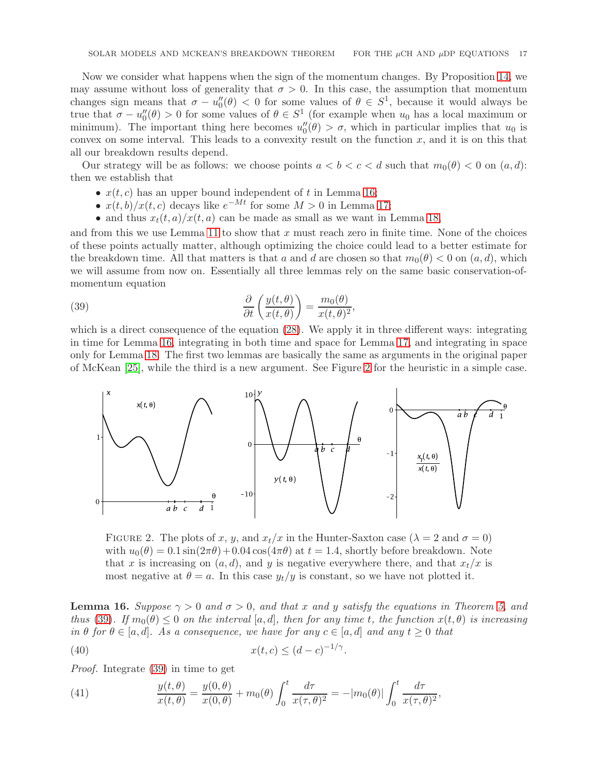Now we consider what happens when the sign of the momentum changes. By Proposition [14,](#page-15-2) we may assume without loss of generality that  $\sigma > 0$ . In this case, the assumption that momentum changes sign means that  $\sigma - u''_0(\theta) < 0$  for some values of  $\theta \in S^1$ , because it would always be true that  $\sigma - u''_0(\theta) > 0$  for some values of  $\theta \in S^1$  (for example when  $u_0$  has a local maximum or minimum). The important thing here becomes  $u''_0(\theta) > \sigma$ , which in particular implies that  $u_0$  is convex on some interval. This leads to a convexity result on the function  $x$ , and it is on this that all our breakdown results depend.

Our strategy will be as follows: we choose points  $a < b < c < d$  such that  $m_0(\theta) < 0$  on  $(a, d)$ : then we establish that

- $x(t, c)$  has an upper bound independent of t in Lemma [16;](#page-16-0)
- $x(t, b)/x(t, c)$  decays like  $e^{-Mt}$  for some  $M > 0$  in Lemma [17;](#page-17-0)
- <span id="page-16-2"></span>• and thus  $x_t(t, a)/x(t, a)$  can be made as small as we want in Lemma [18,](#page-18-0)

and from this we use Lemma [11](#page-13-2) to show that  $x$  must reach zero in finite time. None of the choices of these points actually matter, although optimizing the choice could lead to a better estimate for the breakdown time. All that matters is that a and d are chosen so that  $m_0(\theta) < 0$  on  $(a, d)$ , which we will assume from now on. Essentially all three lemmas rely on the same basic conservation-ofmomentum equation

(39) 
$$
\frac{\partial}{\partial t} \left( \frac{y(t, \theta)}{x(t, \theta)} \right) = \frac{m_0(\theta)}{x(t, \theta)^2},
$$

which is a direct consequence of the equation  $(28)$ . We apply it in three different ways: integrating in time for Lemma [16,](#page-16-0) integrating in both time and space for Lemma [17,](#page-17-0) and integrating in space only for Lemma [18.](#page-18-0) The first two lemmas are basically the same as arguments in the original paper of McKean [\[25\]](#page-22-5), while the third is a new argument. See Figure [2](#page-16-1) for the heuristic in a simple case.



<span id="page-16-1"></span>FIGURE 2. The plots of x, y, and  $x_t/x$  in the Hunter-Saxton case ( $\lambda = 2$  and  $\sigma = 0$ ) with  $u_0(\theta) = 0.1 \sin(2\pi\theta) + 0.04 \cos(4\pi\theta)$  at  $t = 1.4$ , shortly before breakdown. Note that x is increasing on  $(a, d)$ , and y is negative everywhere there, and that  $x_t/x$  is most negative at  $\theta = a$ . In this case  $y_t/y$  is constant, so we have not plotted it.

<span id="page-16-0"></span>**Lemma 16.** Suppose  $\gamma > 0$  and  $\sigma > 0$ , and that x and y satisfy the equations in Theorem [5,](#page-7-8) and thus [\(39\)](#page-16-2). If  $m_0(\theta) \leq 0$  on the interval  $[a, d]$ , then for any time t, the function  $x(t, \theta)$  is increasing in  $\theta$  for  $\theta \in [a, d]$ . As a consequence, we have for any  $c \in [a, d]$  and any  $t \geq 0$  that

<span id="page-16-3"></span>(40) 
$$
x(t,c) \le (d-c)^{-1/\gamma}.
$$

Proof. Integrate [\(39\)](#page-16-2) in time to get

<span id="page-16-4"></span>(41) 
$$
\frac{y(t,\theta)}{x(t,\theta)} = \frac{y(0,\theta)}{x(0,\theta)} + m_0(\theta) \int_0^t \frac{d\tau}{x(\tau,\theta)^2} = -|m_0(\theta)| \int_0^t \frac{d\tau}{x(\tau,\theta)^2},
$$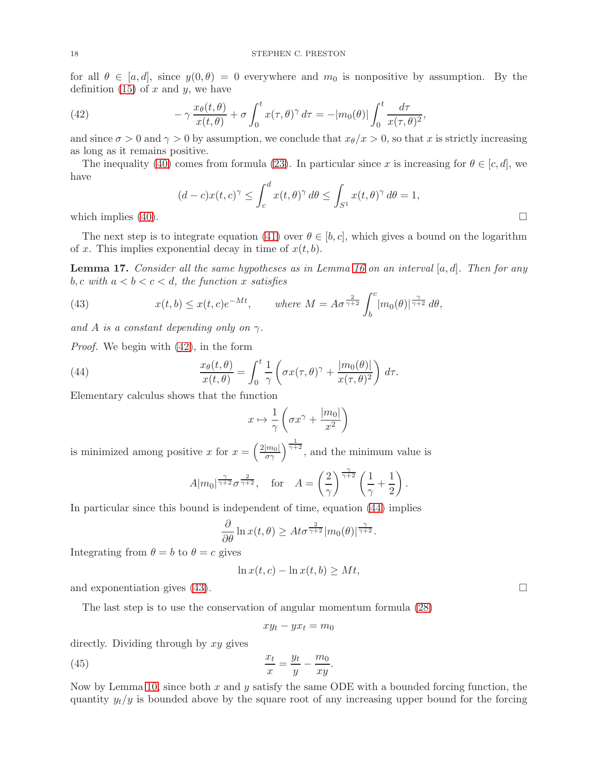for all  $\theta \in [a, d]$ , since  $y(0, \theta) = 0$  everywhere and  $m_0$  is nonpositive by assumption. By the definition  $(15)$  of x and y, we have

<span id="page-17-1"></span>(42) 
$$
-\gamma \frac{x_{\theta}(t,\theta)}{x(t,\theta)} + \sigma \int_0^t x(\tau,\theta)^{\gamma} d\tau = -|m_0(\theta)| \int_0^t \frac{d\tau}{x(\tau,\theta)^2},
$$

and since  $\sigma > 0$  and  $\gamma > 0$  by assumption, we conclude that  $x_{\theta}/x > 0$ , so that x is strictly increasing as long as it remains positive.

The inequality [\(40\)](#page-16-3) comes from formula [\(23\)](#page-7-3). In particular since x is increasing for  $\theta \in [c, d]$ , we have

$$
(d-c)x(t,c)^{\gamma} \le \int_c^d x(t,\theta)^{\gamma} d\theta \le \int_{S^1} x(t,\theta)^{\gamma} d\theta = 1,
$$
  
which implies (40).

The next step is to integrate equation [\(41\)](#page-16-4) over  $\theta \in [b, c]$ , which gives a bound on the logarithm of x. This implies exponential decay in time of  $x(t, b)$ .

<span id="page-17-0"></span>**Lemma 17.** Consider all the same hypotheses as in Lemma [16](#page-16-0) on an interval  $[a, d]$ . Then for any b, c with  $a < b < c < d$ , the function x satisfies

<span id="page-17-3"></span>(43) 
$$
x(t,b) \le x(t,c)e^{-Mt}, \qquad \text{where } M = A\sigma^{\frac{2}{\gamma+2}} \int_b^c |m_0(\theta)|^{\frac{\gamma}{\gamma+2}} d\theta,
$$

and A is a constant depending only on  $\gamma$ .

Proof. We begin with [\(42\)](#page-17-1), in the form

(44) 
$$
\frac{x_{\theta}(t,\theta)}{x(t,\theta)} = \int_0^t \frac{1}{\gamma} \left( \sigma x(\tau,\theta)^{\gamma} + \frac{|m_0(\theta)|}{x(\tau,\theta)^2} \right) d\tau.
$$

Elementary calculus shows that the function

<span id="page-17-2"></span>
$$
x \mapsto \frac{1}{\gamma} \left( \sigma x^{\gamma} + \frac{|m_0|}{x^2} \right)
$$

is minimized among positive x for  $x = \left(\frac{2|m_0|}{\sigma \gamma}\right)^{\frac{1}{\gamma+2}}$ , and the minimum value is

$$
A|m_0|^{\frac{\gamma}{\gamma+2}}\sigma^{\frac{2}{\gamma+2}}, \quad \text{for} \quad A = \left(\frac{2}{\gamma}\right)^{\frac{\gamma}{\gamma+2}}\left(\frac{1}{\gamma} + \frac{1}{2}\right).
$$

In particular since this bound is independent of time, equation [\(44\)](#page-17-2) implies

$$
\frac{\partial}{\partial \theta} \ln x(t, \theta) \geq At\sigma^{\frac{2}{\gamma+2}} |m_0(\theta)|^{\frac{\gamma}{\gamma+2}}.
$$

Integrating from  $\theta = b$  to  $\theta = c$  gives

$$
\ln x(t,c) - \ln x(t,b) \ge Mt,
$$

and exponentiation gives  $(43)$ .

The last step is to use the conservation of angular momentum formula [\(28\)](#page-8-2)

<span id="page-17-4"></span>
$$
xy_t - yx_t = m_0
$$

directly. Dividing through by xy gives

$$
\frac{x_t}{x} = \frac{y_t}{y} - \frac{m_0}{xy}.
$$

Now by Lemma [10,](#page-13-3) since both  $x$  and  $y$  satisfy the same ODE with a bounded forcing function, the quantity  $y_t/y$  is bounded above by the square root of any increasing upper bound for the forcing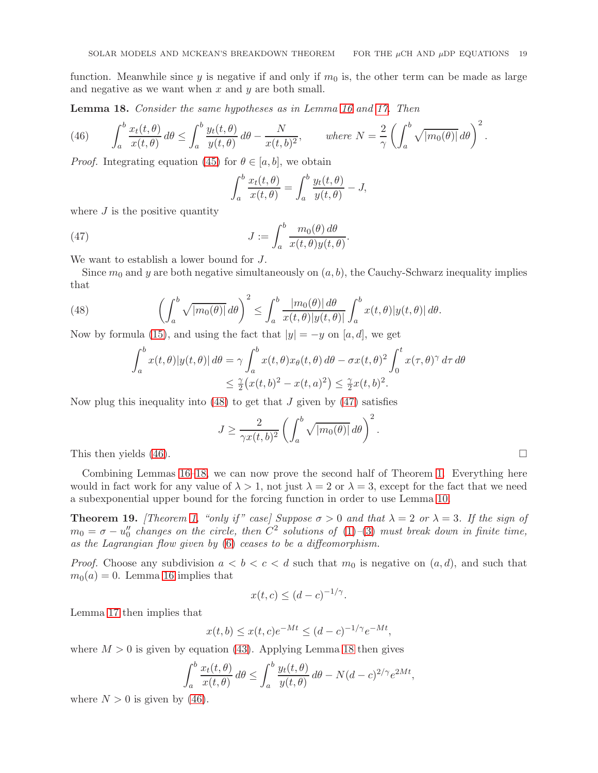function. Meanwhile since y is negative if and only if  $m_0$  is, the other term can be made as large and negative as we want when  $x$  and  $y$  are both small.

<span id="page-18-0"></span>Lemma 18. Consider the same hypotheses as in Lemma [16](#page-16-0) and [17.](#page-17-0) Then

<span id="page-18-3"></span>(46) 
$$
\int_a^b \frac{x_t(t,\theta)}{x(t,\theta)} d\theta \le \int_a^b \frac{y_t(t,\theta)}{y(t,\theta)} d\theta - \frac{N}{x(t,b)^2}, \quad \text{where } N = \frac{2}{\gamma} \left( \int_a^b \sqrt{|m_0(\theta)|} d\theta \right)^2.
$$

*Proof.* Integrating equation [\(45\)](#page-17-4) for  $\theta \in [a, b]$ , we obtain

<span id="page-18-2"></span>
$$
\int_a^b \frac{x_t(t,\theta)}{x(t,\theta)} = \int_a^b \frac{y_t(t,\theta)}{y(t,\theta)} - J,
$$

where  $J$  is the positive quantity

(47) 
$$
J := \int_{a}^{b} \frac{m_0(\theta) d\theta}{x(t, \theta) y(t, \theta)}
$$

We want to establish a lower bound for J.

Since  $m_0$  and y are both negative simultaneously on  $(a, b)$ , the Cauchy-Schwarz inequality implies that

.

(48) 
$$
\left(\int_a^b \sqrt{|m_0(\theta)|} \, d\theta\right)^2 \le \int_a^b \frac{|m_0(\theta)| \, d\theta}{x(t,\theta)|y(t,\theta)|} \int_a^b x(t,\theta)|y(t,\theta)| \, d\theta.
$$

Now by formula [\(15\)](#page-7-6), and using the fact that  $|y| = -y$  on [a, d], we get

<span id="page-18-1"></span>
$$
\int_{a}^{b} x(t,\theta)|y(t,\theta)| d\theta = \gamma \int_{a}^{b} x(t,\theta)x_{\theta}(t,\theta) d\theta - \sigma x(t,\theta)^{2} \int_{0}^{t} x(\tau,\theta)^{\gamma} d\tau d\theta
$$
  

$$
\leq \frac{\gamma}{2} (x(t,b)^{2} - x(t,a)^{2}) \leq \frac{\gamma}{2}x(t,b)^{2}.
$$

Now plug this inequality into  $(48)$  to get that J given by  $(47)$  satisfies

$$
J \ge \frac{2}{\gamma x(t,b)^2} \left( \int_a^b \sqrt{|m_0(\theta)|} \, d\theta \right)^2.
$$
 This then yields (46).

Combining Lemmas [16](#page-16-0)[–18,](#page-18-0) we can now prove the second half of Theorem [1.](#page-1-0) Everything here would in fact work for any value of  $\lambda > 1$ , not just  $\lambda = 2$  or  $\lambda = 3$ , except for the fact that we need a subexponential upper bound for the forcing function in order to use Lemma [10.](#page-13-3)

**Theorem 19.** [Theorem [1,](#page-1-0) "only if" case] Suppose  $\sigma > 0$  and that  $\lambda = 2$  or  $\lambda = 3$ . If the sign of  $m_0 = \sigma - u''_0$  changes on the circle, then  $\overline{C}^2$  solutions of  $(1)-(3)$  $(1)-(3)$  $(1)-(3)$  must break down in finite time, as the Lagrangian flow given by [\(6\)](#page-2-2) ceases to be a diffeomorphism.

*Proof.* Choose any subdivision  $a < b < c < d$  such that  $m_0$  is negative on  $(a, d)$ , and such that  $m_0(a) = 0$ . Lemma [16](#page-16-0) implies that

$$
x(t,c) \le (d-c)^{-1/\gamma}.
$$

Lemma [17](#page-17-0) then implies that

$$
x(t, b) \le x(t, c)e^{-Mt} \le (d - c)^{-1/\gamma}e^{-Mt},
$$

where  $M > 0$  is given by equation [\(43\)](#page-17-3). Applying Lemma [18](#page-18-0) then gives

$$
\int_a^b \frac{x_t(t,\theta)}{x(t,\theta)} d\theta \le \int_a^b \frac{y_t(t,\theta)}{y(t,\theta)} d\theta - N(d-c)^{2/\gamma} e^{2Mt},
$$

where  $N > 0$  is given by [\(46\)](#page-18-3).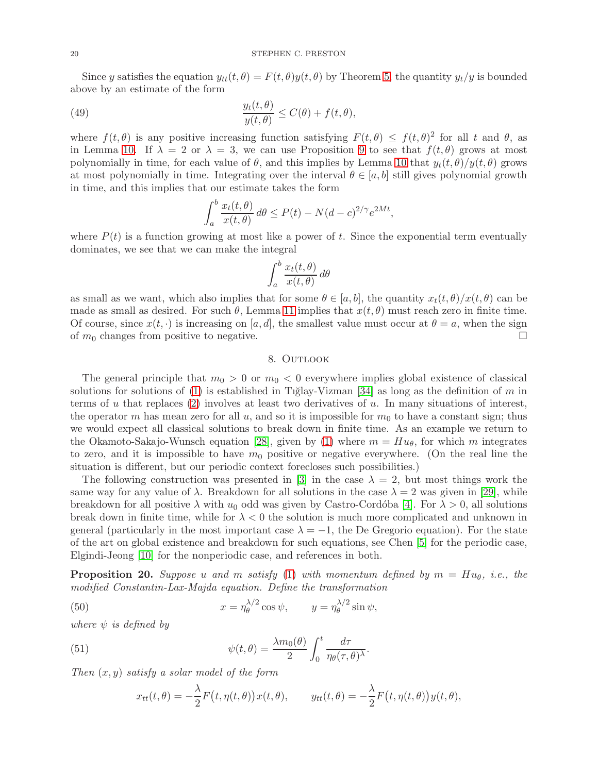Since y satisfies the equation  $y_{tt}(t, \theta) = F(t, \theta)y(t, \theta)$  by Theorem [5,](#page-7-8) the quantity  $y_t/y$  is bounded above by an estimate of the form

(49) 
$$
\frac{y_t(t,\theta)}{y(t,\theta)} \leq C(\theta) + f(t,\theta),
$$

where  $f(t, \theta)$  is any positive increasing function satisfying  $F(t, \theta) \leq f(t, \theta)^2$  for all t and  $\theta$ , as in Lemma [10.](#page-13-3) If  $\lambda = 2$  or  $\lambda = 3$ , we can use Proposition [9](#page-12-1) to see that  $f(t, \theta)$  grows at most polynomially in time, for each value of  $\theta$ , and this implies by Lemma [10](#page-13-3) that  $y_t(t, \theta)/y(t, \theta)$  grows at most polynomially in time. Integrating over the interval  $\theta \in [a, b]$  still gives polynomial growth in time, and this implies that our estimate takes the form

$$
\int_a^b \frac{x_t(t,\theta)}{x(t,\theta)} d\theta \le P(t) - N(d-c)^{2/\gamma} e^{2Mt},
$$

where  $P(t)$  is a function growing at most like a power of t. Since the exponential term eventually dominates, we see that we can make the integral

$$
\int_{a}^{b} \frac{x_t(t, \theta)}{x(t, \theta)} d\theta
$$

as small as we want, which also implies that for some  $\theta \in [a, b]$ , the quantity  $x_t(t, \theta)/x(t, \theta)$  can be made as small as desired. For such  $\theta$ , Lemma [11](#page-13-2) implies that  $x(t, \theta)$  must reach zero in finite time. Of course, since  $x(t, \cdot)$  is increasing on [a, d], the smallest value must occur at  $\theta = a$ , when the sign of  $m_0$  changes from positive to negative.

# 8. OUTLOOK

<span id="page-19-0"></span>The general principle that  $m_0 > 0$  or  $m_0 < 0$  everywhere implies global existence of classical solutions for solutions of [\(1\)](#page-0-2) is established in Tiglay-Vizman [\[34\]](#page-22-17) as long as the definition of m in terms of u that replaces  $(2)$  involves at least two derivatives of u. In many situations of interest, the operator m has mean zero for all u, and so it is impossible for  $m_0$  to have a constant sign; thus we would expect all classical solutions to break down in finite time. As an example we return to the Okamoto-Sakajo-Wunsch equation [\[28\]](#page-22-18), given by [\(1\)](#page-0-2) where  $m = H u_{\theta}$ , for which m integrates to zero, and it is impossible to have  $m_0$  positive or negative everywhere. (On the real line the situation is different, but our periodic context forecloses such possibilities.)

The following construction was presented in [\[3\]](#page-21-6) in the case  $\lambda = 2$ , but most things work the same way for any value of  $\lambda$ . Breakdown for all solutions in the case  $\lambda = 2$  was given in [\[29\]](#page-22-24), while breakdown for all positive  $\lambda$  with  $u_0$  odd was given by Castro-Cordóba [\[4\]](#page-21-7). For  $\lambda > 0$ , all solutions break down in finite time, while for  $\lambda < 0$  the solution is much more complicated and unknown in general (particularly in the most important case  $\lambda = -1$ , the De Gregorio equation). For the state of the art on global existence and breakdown for such equations, see Chen [\[5\]](#page-21-8) for the periodic case, Elgindi-Jeong [\[10\]](#page-22-25) for the nonperiodic case, and references in both.

**Proposition 20.** Suppose u and m satisfy [\(1\)](#page-0-2) with momentum defined by  $m = Hu_{\theta}$ , i.e., the modified Constantin-Lax-Majda equation. Define the transformation

(50) 
$$
x = \eta_{\theta}^{\lambda/2} \cos \psi, \qquad y = \eta_{\theta}^{\lambda/2} \sin \psi,
$$

where  $\psi$  is defined by

(51) 
$$
\psi(t,\theta) = \frac{\lambda m_0(\theta)}{2} \int_0^t \frac{d\tau}{\eta_{\theta}(\tau,\theta)^{\lambda}}
$$

Then  $(x, y)$  satisfy a solar model of the form

<span id="page-19-1"></span>
$$
x_{tt}(t,\theta) = -\frac{\lambda}{2}F(t,\eta(t,\theta))x(t,\theta), \qquad y_{tt}(t,\theta) = -\frac{\lambda}{2}F(t,\eta(t,\theta))y(t,\theta),
$$

.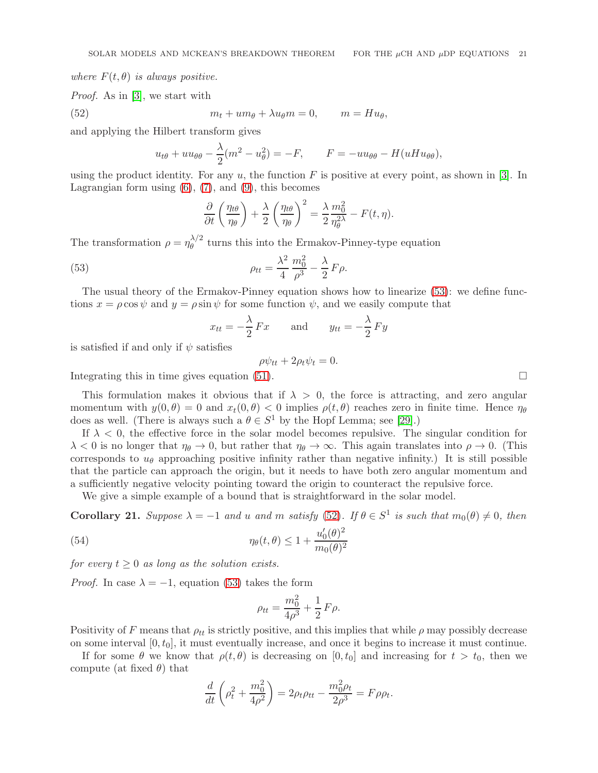where  $F(t, \theta)$  is always positive.

Proof. As in [\[3\]](#page-21-6), we start with

(52) 
$$
m_t + um_\theta + \lambda u_\theta m = 0, \qquad m = Hu_\theta,
$$

and applying the Hilbert transform gives

<span id="page-20-1"></span>
$$
u_{t\theta} + uu_{\theta\theta} - \frac{\lambda}{2}(m^2 - u_\theta^2) = -F, \qquad F = -uu_{\theta\theta} - H(uHu_{\theta\theta}),
$$

using the product identity. For any  $u$ , the function F is positive at every point, as shown in [\[3\]](#page-21-6). In Lagrangian form using  $(6)$ ,  $(7)$ , and  $(9)$ , this becomes

$$
\frac{\partial}{\partial t}\left(\frac{\eta_{t\theta}}{\eta_{\theta}}\right) + \frac{\lambda}{2}\left(\frac{\eta_{t\theta}}{\eta_{\theta}}\right)^2 = \frac{\lambda}{2}\frac{m_0^2}{\eta_{\theta}^{2\lambda}} - F(t,\eta).
$$

The transformation  $\rho = \eta_{\theta}^{\lambda/2}$  $\theta$ <sup> $\gamma$ </sup> turns this into the Ermakov-Pinney-type equation

(53) 
$$
\rho_{tt} = \frac{\lambda^2}{4} \frac{m_0^2}{\rho^3} - \frac{\lambda}{2} F \rho.
$$

The usual theory of the Ermakov-Pinney equation shows how to linearize [\(53\)](#page-20-0): we define functions  $x = \rho \cos \psi$  and  $y = \rho \sin \psi$  for some function  $\psi$ , and we easily compute that

<span id="page-20-0"></span>
$$
x_{tt} = -\frac{\lambda}{2} Fx \quad \text{and} \quad y_{tt} = -\frac{\lambda}{2} Fy
$$

is satisfied if and only if  $\psi$  satisfies

$$
\rho \psi_{tt} + 2\rho_t \psi_t = 0.
$$

Integrating this in time gives equation [\(51\)](#page-19-1).

This formulation makes it obvious that if  $\lambda > 0$ , the force is attracting, and zero angular momentum with  $y(0, \theta) = 0$  and  $x_t(0, \theta) < 0$  implies  $\rho(t, \theta)$  reaches zero in finite time. Hence  $\eta_{\theta}$ does as well. (There is always such a  $\theta \in S^1$  by the Hopf Lemma; see [\[29\]](#page-22-24).)

If  $\lambda < 0$ , the effective force in the solar model becomes repulsive. The singular condition for  $\lambda < 0$  is no longer that  $\eta_{\theta} \to 0$ , but rather that  $\eta_{\theta} \to \infty$ . This again translates into  $\rho \to 0$ . (This corresponds to  $u_{\theta}$  approaching positive infinity rather than negative infinity.) It is still possible that the particle can approach the origin, but it needs to have both zero angular momentum and a sufficiently negative velocity pointing toward the origin to counteract the repulsive force.

We give a simple example of a bound that is straightforward in the solar model.

<span id="page-20-2"></span>**Corollary 21.** Suppose  $\lambda = -1$  and u and m satisfy [\(52\)](#page-20-1). If  $\theta \in S^1$  is such that  $m_0(\theta) \neq 0$ , then

(54) 
$$
\eta_{\theta}(t,\theta) \leq 1 + \frac{u'_0(\theta)^2}{m_0(\theta)^2}
$$

for every  $t \geq 0$  as long as the solution exists.

*Proof.* In case  $\lambda = -1$ , equation [\(53\)](#page-20-0) takes the form

$$
\rho_{tt} = \frac{m_0^2}{4\rho^3} + \frac{1}{2} F \rho.
$$

Positivity of F means that  $\rho_{tt}$  is strictly positive, and this implies that while  $\rho$  may possibly decrease on some interval  $[0, t_0]$ , it must eventually increase, and once it begins to increase it must continue.

If for some  $\theta$  we know that  $\rho(t, \theta)$  is decreasing on [0, t<sub>0</sub>] and increasing for  $t > t_0$ , then we compute (at fixed  $\theta$ ) that

$$
\frac{d}{dt}\left(\rho_t^2 + \frac{m_0^2}{4\rho^2}\right) = 2\rho_t \rho_{tt} - \frac{m_0^2 \rho_t}{2\rho^3} = F \rho \rho_t.
$$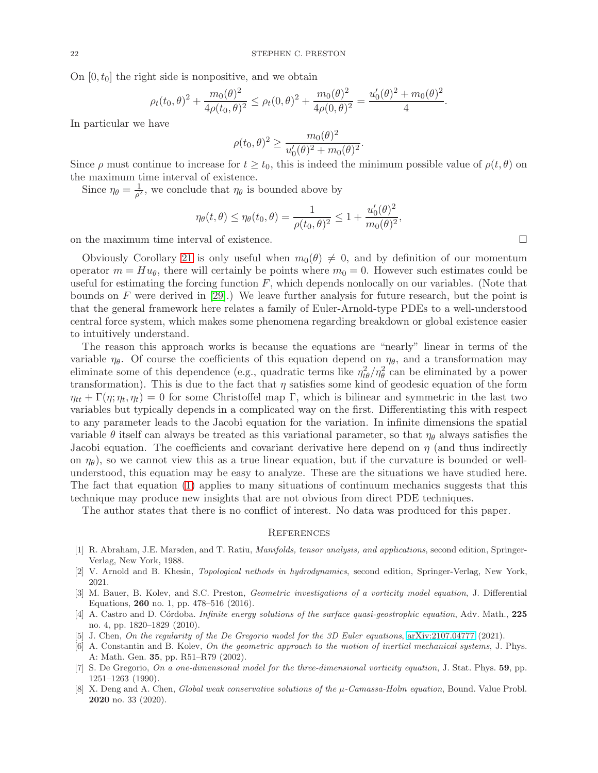On  $[0, t_0]$  the right side is nonpositive, and we obtain

$$
\rho_t(t_0,\theta)^2 + \frac{m_0(\theta)^2}{4\rho(t_0,\theta)^2} \le \rho_t(0,\theta)^2 + \frac{m_0(\theta)^2}{4\rho(0,\theta)^2} = \frac{u'_0(\theta)^2 + m_0(\theta)^2}{4}.
$$

In particular we have

$$
\rho(t_0, \theta)^2 \ge \frac{m_0(\theta)^2}{u'_0(\theta)^2 + m_0(\theta)^2}.
$$

Since  $\rho$  must continue to increase for  $t \geq t_0$ , this is indeed the minimum possible value of  $\rho(t, \theta)$  on the maximum time interval of existence.

Since  $\eta_{\theta} = \frac{1}{\rho^2}$  $\frac{1}{\rho^2}$ , we conclude that  $\eta_\theta$  is bounded above by

$$
\eta_{\theta}(t,\theta) \le \eta_{\theta}(t_0,\theta) = \frac{1}{\rho(t_0,\theta)^2} \le 1 + \frac{u'_0(\theta)^2}{m_0(\theta)^2},
$$

on the maximum time interval of existence.

Obviously Corollary [21](#page-20-2) is only useful when  $m_0(\theta) \neq 0$ , and by definition of our momentum operator  $m = Hu_{\theta}$ , there will certainly be points where  $m_0 = 0$ . However such estimates could be useful for estimating the forcing function  $F$ , which depends nonlocally on our variables. (Note that bounds on F were derived in  $[29]$ .) We leave further analysis for future research, but the point is that the general framework here relates a family of Euler-Arnold-type PDEs to a well-understood central force system, which makes some phenomena regarding breakdown or global existence easier to intuitively understand.

The reason this approach works is because the equations are "nearly" linear in terms of the variable  $\eta_{\theta}$ . Of course the coefficients of this equation depend on  $\eta_{\theta}$ , and a transformation may eliminate some of this dependence (e.g., quadratic terms like  $\eta_{t\theta}^2/\eta_{\theta}^2$  can be eliminated by a power transformation). This is due to the fact that  $\eta$  satisfies some kind of geodesic equation of the form  $\eta_{tt} + \Gamma(\eta; \eta_t, \eta_t) = 0$  for some Christoffel map Γ, which is bilinear and symmetric in the last two variables but typically depends in a complicated way on the first. Differentiating this with respect to any parameter leads to the Jacobi equation for the variation. In infinite dimensions the spatial variable  $\theta$  itself can always be treated as this variational parameter, so that  $\eta_{\theta}$  always satisfies the Jacobi equation. The coefficients and covariant derivative here depend on  $\eta$  (and thus indirectly on  $\eta_{\theta}$ ), so we cannot view this as a true linear equation, but if the curvature is bounded or wellunderstood, this equation may be easy to analyze. These are the situations we have studied here. The fact that equation [\(1\)](#page-0-2) applies to many situations of continuum mechanics suggests that this technique may produce new insights that are not obvious from direct PDE techniques.

The author states that there is no conflict of interest. No data was produced for this paper.

### <span id="page-21-0"></span>**REFERENCES**

- <span id="page-21-5"></span>[1] R. Abraham, J.E. Marsden, and T. Ratiu, Manifolds, tensor analysis, and applications, second edition, Springer-Verlag, New York, 1988.
- <span id="page-21-6"></span><span id="page-21-1"></span>[2] V. Arnold and B. Khesin, Topological nethods in hydrodynamics, second edition, Springer-Verlag, New York, 2021.
- [3] M. Bauer, B. Kolev, and S.C. Preston, Geometric investigations of a vorticity model equation, J. Differential Equations, 260 no. 1, pp. 478–516 (2016).
- <span id="page-21-7"></span>[4] A. Castro and D. Córdoba. Infinite energy solutions of the surface quasi-geostrophic equation, Adv. Math., 225 no. 4, pp. 1820–1829 (2010).
- <span id="page-21-8"></span><span id="page-21-3"></span>[5] J. Chen, On the regularity of the De Gregorio model for the 3D Euler equations, [arXiv:2107.04777](http://arxiv.org/abs/2107.04777) (2021).
- [6] A. Constantin and B. Kolev, On the geometric approach to the motion of inertial mechanical systems, J. Phys. A: Math. Gen. 35, pp. R51–R79 (2002).
- <span id="page-21-2"></span>[7] S. De Gregorio, On a one-dimensional model for the three-dimensional vorticity equation, J. Stat. Phys. 59, pp. 1251–1263 (1990).
- <span id="page-21-4"></span>[8] X. Deng and A. Chen, *Global weak conservative solutions of the*  $\mu$ *-Camassa-Holm equation*, Bound. Value Probl. 2020 no. 33 (2020).